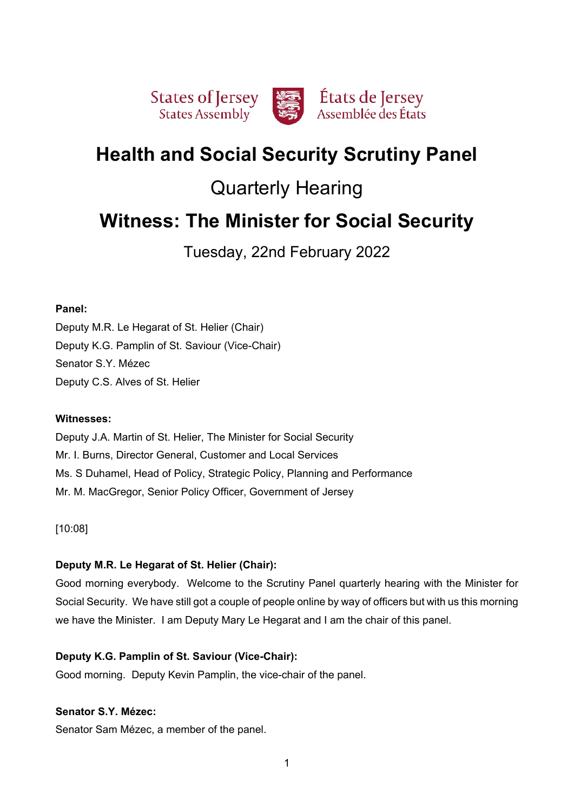

# **Health and Social Security Scrutiny Panel**

# Quarterly Hearing

# **Witness: The Minister for Social Security**

Tuesday, 22nd February 2022

# **Panel:**

Deputy M.R. Le Hegarat of St. Helier (Chair) Deputy K.G. Pamplin of St. Saviour (Vice-Chair) Senator S.Y. Mézec Deputy C.S. Alves of St. Helier

# **Witnesses:**

Deputy J.A. Martin of St. Helier, The Minister for Social Security Mr. I. Burns, Director General, Customer and Local Services Ms. S Duhamel, Head of Policy, Strategic Policy, Planning and Performance Mr. M. MacGregor, Senior Policy Officer, Government of Jersey

[10:08]

# **Deputy M.R. Le Hegarat of St. Helier (Chair):**

Good morning everybody. Welcome to the Scrutiny Panel quarterly hearing with the Minister for Social Security. We have still got a couple of people online by way of officers but with us this morning we have the Minister. I am Deputy Mary Le Hegarat and I am the chair of this panel.

# **Deputy K.G. Pamplin of St. Saviour (Vice-Chair):**

Good morning. Deputy Kevin Pamplin, the vice-chair of the panel.

# **Senator S.Y. Mézec:**

Senator Sam Mézec, a member of the panel.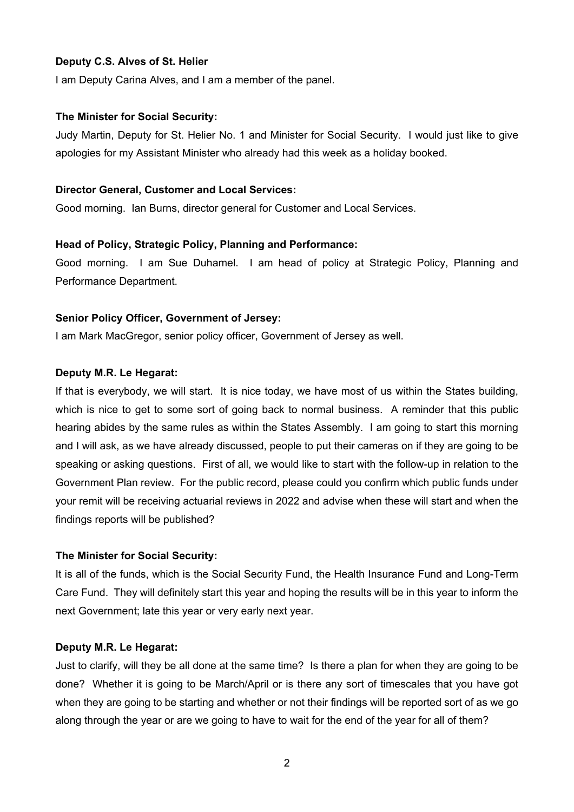# **Deputy C.S. Alves of St. Helier**

I am Deputy Carina Alves, and I am a member of the panel.

#### **The Minister for Social Security:**

Judy Martin, Deputy for St. Helier No. 1 and Minister for Social Security. I would just like to give apologies for my Assistant Minister who already had this week as a holiday booked.

#### **Director General, Customer and Local Services:**

Good morning. Ian Burns, director general for Customer and Local Services.

## **Head of Policy, Strategic Policy, Planning and Performance:**

Good morning. I am Sue Duhamel. I am head of policy at Strategic Policy, Planning and Performance Department.

## **Senior Policy Officer, Government of Jersey:**

I am Mark MacGregor, senior policy officer, Government of Jersey as well.

#### **Deputy M.R. Le Hegarat:**

If that is everybody, we will start. It is nice today, we have most of us within the States building, which is nice to get to some sort of going back to normal business. A reminder that this public hearing abides by the same rules as within the States Assembly. I am going to start this morning and I will ask, as we have already discussed, people to put their cameras on if they are going to be speaking or asking questions. First of all, we would like to start with the follow-up in relation to the Government Plan review. For the public record, please could you confirm which public funds under your remit will be receiving actuarial reviews in 2022 and advise when these will start and when the findings reports will be published?

## **The Minister for Social Security:**

It is all of the funds, which is the Social Security Fund, the Health Insurance Fund and Long-Term Care Fund. They will definitely start this year and hoping the results will be in this year to inform the next Government; late this year or very early next year.

## **Deputy M.R. Le Hegarat:**

Just to clarify, will they be all done at the same time? Is there a plan for when they are going to be done? Whether it is going to be March/April or is there any sort of timescales that you have got when they are going to be starting and whether or not their findings will be reported sort of as we go along through the year or are we going to have to wait for the end of the year for all of them?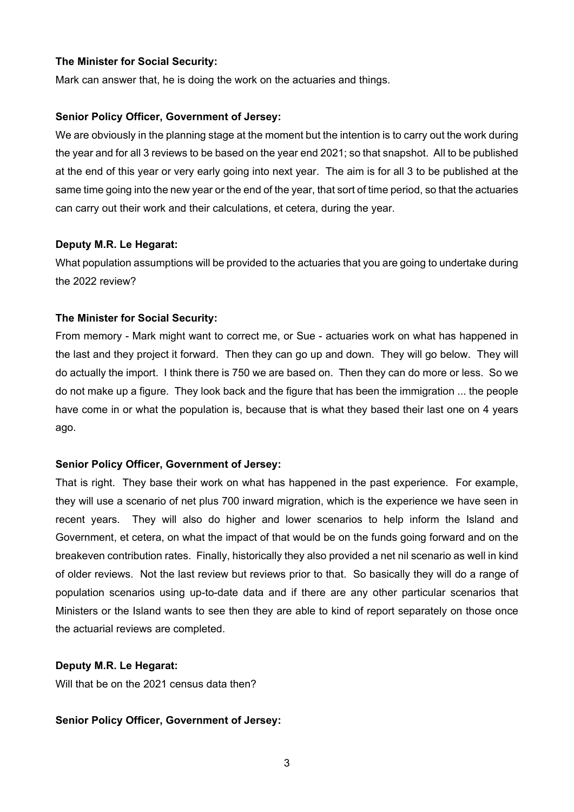## **The Minister for Social Security:**

Mark can answer that, he is doing the work on the actuaries and things.

# **Senior Policy Officer, Government of Jersey:**

We are obviously in the planning stage at the moment but the intention is to carry out the work during the year and for all 3 reviews to be based on the year end 2021; so that snapshot. All to be published at the end of this year or very early going into next year. The aim is for all 3 to be published at the same time going into the new year or the end of the year, that sort of time period, so that the actuaries can carry out their work and their calculations, et cetera, during the year.

# **Deputy M.R. Le Hegarat:**

What population assumptions will be provided to the actuaries that you are going to undertake during the 2022 review?

# **The Minister for Social Security:**

From memory - Mark might want to correct me, or Sue - actuaries work on what has happened in the last and they project it forward. Then they can go up and down. They will go below. They will do actually the import. I think there is 750 we are based on. Then they can do more or less. So we do not make up a figure. They look back and the figure that has been the immigration ... the people have come in or what the population is, because that is what they based their last one on 4 years ago.

# **Senior Policy Officer, Government of Jersey:**

That is right. They base their work on what has happened in the past experience. For example, they will use a scenario of net plus 700 inward migration, which is the experience we have seen in recent years. They will also do higher and lower scenarios to help inform the Island and Government, et cetera, on what the impact of that would be on the funds going forward and on the breakeven contribution rates. Finally, historically they also provided a net nil scenario as well in kind of older reviews. Not the last review but reviews prior to that. So basically they will do a range of population scenarios using up-to-date data and if there are any other particular scenarios that Ministers or the Island wants to see then they are able to kind of report separately on those once the actuarial reviews are completed.

## **Deputy M.R. Le Hegarat:**

Will that be on the 2021 census data then?

# **Senior Policy Officer, Government of Jersey:**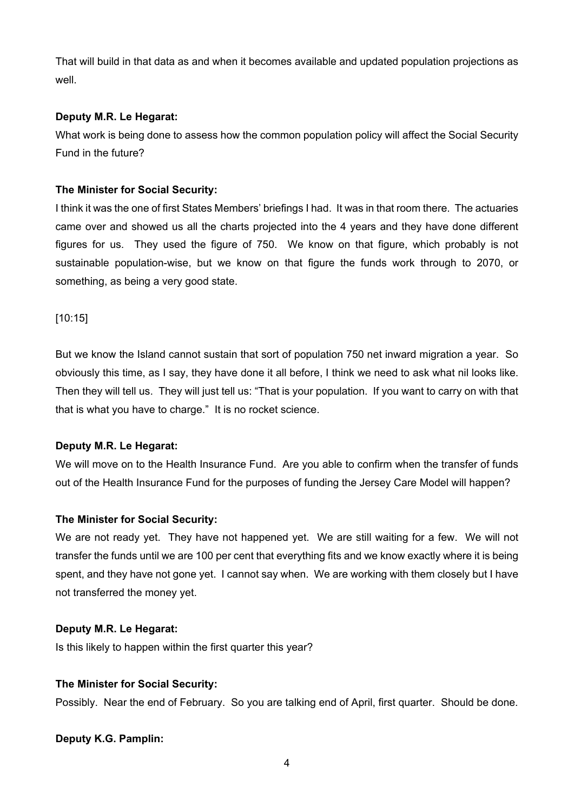That will build in that data as and when it becomes available and updated population projections as well.

# **Deputy M.R. Le Hegarat:**

What work is being done to assess how the common population policy will affect the Social Security Fund in the future?

# **The Minister for Social Security:**

I think it was the one of first States Members' briefings I had. It was in that room there. The actuaries came over and showed us all the charts projected into the 4 years and they have done different figures for us. They used the figure of 750. We know on that figure, which probably is not sustainable population-wise, but we know on that figure the funds work through to 2070, or something, as being a very good state.

# [10:15]

But we know the Island cannot sustain that sort of population 750 net inward migration a year. So obviously this time, as I say, they have done it all before, I think we need to ask what nil looks like. Then they will tell us. They will just tell us: "That is your population. If you want to carry on with that that is what you have to charge." It is no rocket science.

# **Deputy M.R. Le Hegarat:**

We will move on to the Health Insurance Fund. Are you able to confirm when the transfer of funds out of the Health Insurance Fund for the purposes of funding the Jersey Care Model will happen?

# **The Minister for Social Security:**

We are not ready yet. They have not happened yet. We are still waiting for a few. We will not transfer the funds until we are 100 per cent that everything fits and we know exactly where it is being spent, and they have not gone yet. I cannot say when. We are working with them closely but I have not transferred the money yet.

# **Deputy M.R. Le Hegarat:**

Is this likely to happen within the first quarter this year?

# **The Minister for Social Security:**

Possibly. Near the end of February. So you are talking end of April, first quarter. Should be done.

# **Deputy K.G. Pamplin:**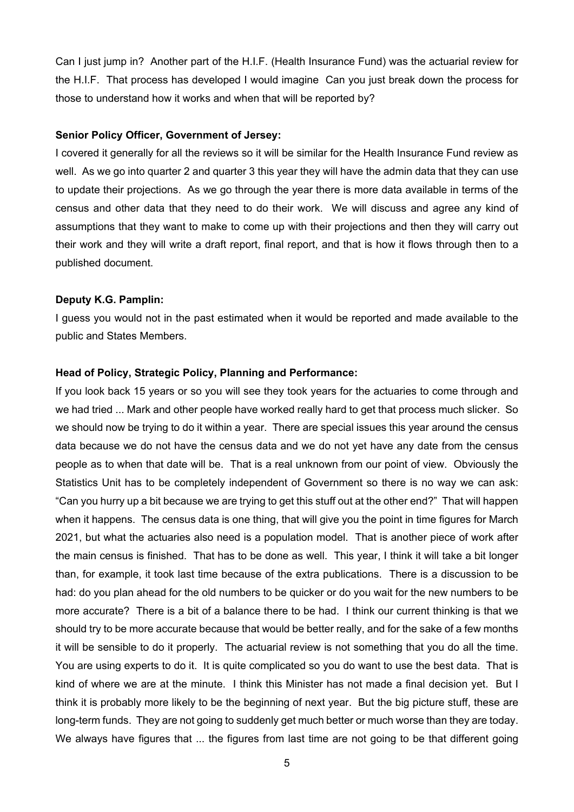Can I just jump in? Another part of the H.I.F. (Health Insurance Fund) was the actuarial review for the H.I.F. That process has developed I would imagine Can you just break down the process for those to understand how it works and when that will be reported by?

## **Senior Policy Officer, Government of Jersey:**

I covered it generally for all the reviews so it will be similar for the Health Insurance Fund review as well. As we go into quarter 2 and quarter 3 this year they will have the admin data that they can use to update their projections. As we go through the year there is more data available in terms of the census and other data that they need to do their work. We will discuss and agree any kind of assumptions that they want to make to come up with their projections and then they will carry out their work and they will write a draft report, final report, and that is how it flows through then to a published document.

#### **Deputy K.G. Pamplin:**

I guess you would not in the past estimated when it would be reported and made available to the public and States Members.

#### **Head of Policy, Strategic Policy, Planning and Performance:**

If you look back 15 years or so you will see they took years for the actuaries to come through and we had tried ... Mark and other people have worked really hard to get that process much slicker. So we should now be trying to do it within a year. There are special issues this year around the census data because we do not have the census data and we do not yet have any date from the census people as to when that date will be. That is a real unknown from our point of view. Obviously the Statistics Unit has to be completely independent of Government so there is no way we can ask: "Can you hurry up a bit because we are trying to get this stuff out at the other end?" That will happen when it happens. The census data is one thing, that will give you the point in time figures for March 2021, but what the actuaries also need is a population model. That is another piece of work after the main census is finished. That has to be done as well. This year, I think it will take a bit longer than, for example, it took last time because of the extra publications. There is a discussion to be had: do you plan ahead for the old numbers to be quicker or do you wait for the new numbers to be more accurate? There is a bit of a balance there to be had. I think our current thinking is that we should try to be more accurate because that would be better really, and for the sake of a few months it will be sensible to do it properly. The actuarial review is not something that you do all the time. You are using experts to do it. It is quite complicated so you do want to use the best data. That is kind of where we are at the minute. I think this Minister has not made a final decision yet. But I think it is probably more likely to be the beginning of next year. But the big picture stuff, these are long-term funds. They are not going to suddenly get much better or much worse than they are today. We always have figures that ... the figures from last time are not going to be that different going

5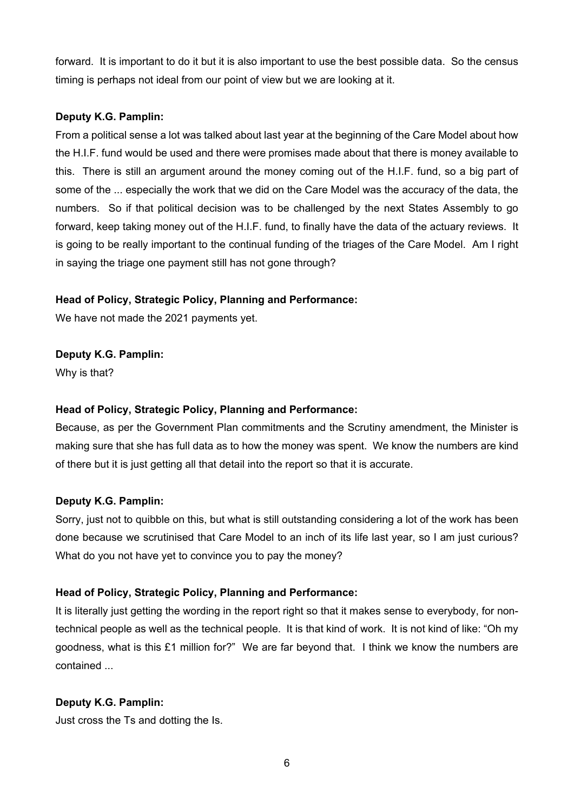forward. It is important to do it but it is also important to use the best possible data. So the census timing is perhaps not ideal from our point of view but we are looking at it.

# **Deputy K.G. Pamplin:**

From a political sense a lot was talked about last year at the beginning of the Care Model about how the H.I.F. fund would be used and there were promises made about that there is money available to this. There is still an argument around the money coming out of the H.I.F. fund, so a big part of some of the ... especially the work that we did on the Care Model was the accuracy of the data, the numbers. So if that political decision was to be challenged by the next States Assembly to go forward, keep taking money out of the H.I.F. fund, to finally have the data of the actuary reviews. It is going to be really important to the continual funding of the triages of the Care Model. Am I right in saying the triage one payment still has not gone through?

# **Head of Policy, Strategic Policy, Planning and Performance:**

We have not made the 2021 payments yet.

**Deputy K.G. Pamplin:**

Why is that?

# **Head of Policy, Strategic Policy, Planning and Performance:**

Because, as per the Government Plan commitments and the Scrutiny amendment, the Minister is making sure that she has full data as to how the money was spent. We know the numbers are kind of there but it is just getting all that detail into the report so that it is accurate.

# **Deputy K.G. Pamplin:**

Sorry, just not to quibble on this, but what is still outstanding considering a lot of the work has been done because we scrutinised that Care Model to an inch of its life last year, so I am just curious? What do you not have yet to convince you to pay the money?

# **Head of Policy, Strategic Policy, Planning and Performance:**

It is literally just getting the wording in the report right so that it makes sense to everybody, for nontechnical people as well as the technical people. It is that kind of work. It is not kind of like: "Oh my goodness, what is this £1 million for?" We are far beyond that. I think we know the numbers are contained ...

# **Deputy K.G. Pamplin:**

Just cross the Ts and dotting the Is.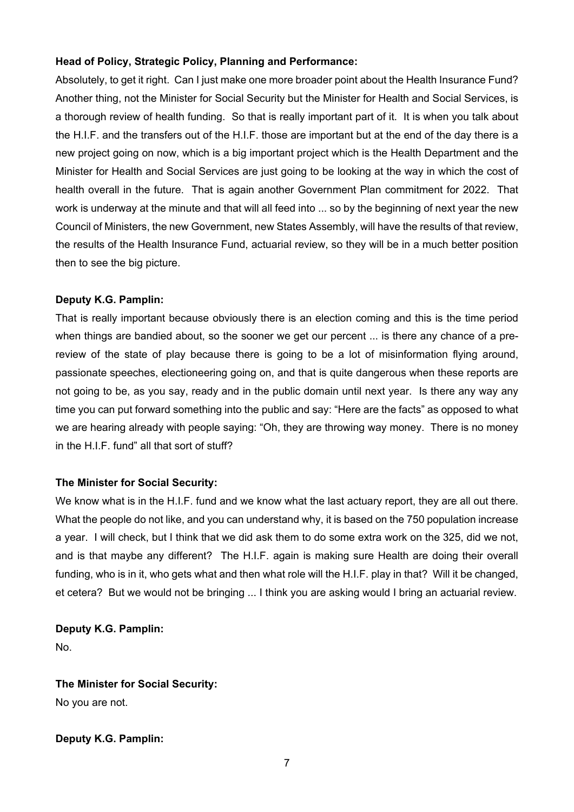# **Head of Policy, Strategic Policy, Planning and Performance:**

Absolutely, to get it right. Can I just make one more broader point about the Health Insurance Fund? Another thing, not the Minister for Social Security but the Minister for Health and Social Services, is a thorough review of health funding. So that is really important part of it. It is when you talk about the H.I.F. and the transfers out of the H.I.F. those are important but at the end of the day there is a new project going on now, which is a big important project which is the Health Department and the Minister for Health and Social Services are just going to be looking at the way in which the cost of health overall in the future. That is again another Government Plan commitment for 2022. That work is underway at the minute and that will all feed into ... so by the beginning of next year the new Council of Ministers, the new Government, new States Assembly, will have the results of that review, the results of the Health Insurance Fund, actuarial review, so they will be in a much better position then to see the big picture.

# **Deputy K.G. Pamplin:**

That is really important because obviously there is an election coming and this is the time period when things are bandied about, so the sooner we get our percent ... is there any chance of a prereview of the state of play because there is going to be a lot of misinformation flying around, passionate speeches, electioneering going on, and that is quite dangerous when these reports are not going to be, as you say, ready and in the public domain until next year. Is there any way any time you can put forward something into the public and say: "Here are the facts" as opposed to what we are hearing already with people saying: "Oh, they are throwing way money. There is no money in the H.I.F. fund" all that sort of stuff?

# **The Minister for Social Security:**

We know what is in the H.I.F. fund and we know what the last actuary report, they are all out there. What the people do not like, and you can understand why, it is based on the 750 population increase a year. I will check, but I think that we did ask them to do some extra work on the 325, did we not, and is that maybe any different? The H.I.F. again is making sure Health are doing their overall funding, who is in it, who gets what and then what role will the H.I.F. play in that? Will it be changed, et cetera? But we would not be bringing ... I think you are asking would I bring an actuarial review.

**Deputy K.G. Pamplin:** 

No.

**The Minister for Social Security:** 

No you are not.

**Deputy K.G. Pamplin:**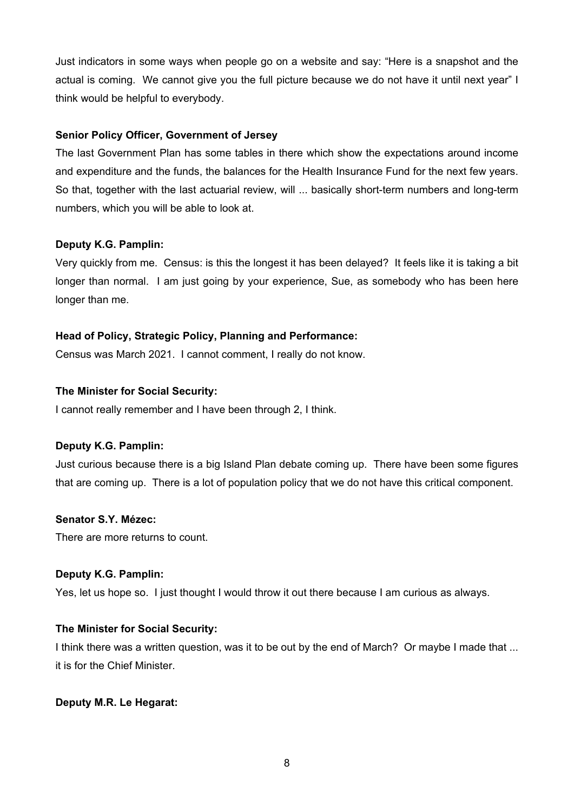Just indicators in some ways when people go on a website and say: "Here is a snapshot and the actual is coming. We cannot give you the full picture because we do not have it until next year" I think would be helpful to everybody.

# **Senior Policy Officer, Government of Jersey**

The last Government Plan has some tables in there which show the expectations around income and expenditure and the funds, the balances for the Health Insurance Fund for the next few years. So that, together with the last actuarial review, will ... basically short-term numbers and long-term numbers, which you will be able to look at.

# **Deputy K.G. Pamplin:**

Very quickly from me. Census: is this the longest it has been delayed? It feels like it is taking a bit longer than normal. I am just going by your experience, Sue, as somebody who has been here longer than me.

# **Head of Policy, Strategic Policy, Planning and Performance:**

Census was March 2021. I cannot comment, I really do not know.

# **The Minister for Social Security:**

I cannot really remember and I have been through 2, I think.

# **Deputy K.G. Pamplin:**

Just curious because there is a big Island Plan debate coming up. There have been some figures that are coming up. There is a lot of population policy that we do not have this critical component.

# **Senator S.Y. Mézec:**

There are more returns to count.

# **Deputy K.G. Pamplin:**

Yes, let us hope so. I just thought I would throw it out there because I am curious as always.

# **The Minister for Social Security:**

I think there was a written question, was it to be out by the end of March? Or maybe I made that ... it is for the Chief Minister.

# **Deputy M.R. Le Hegarat:**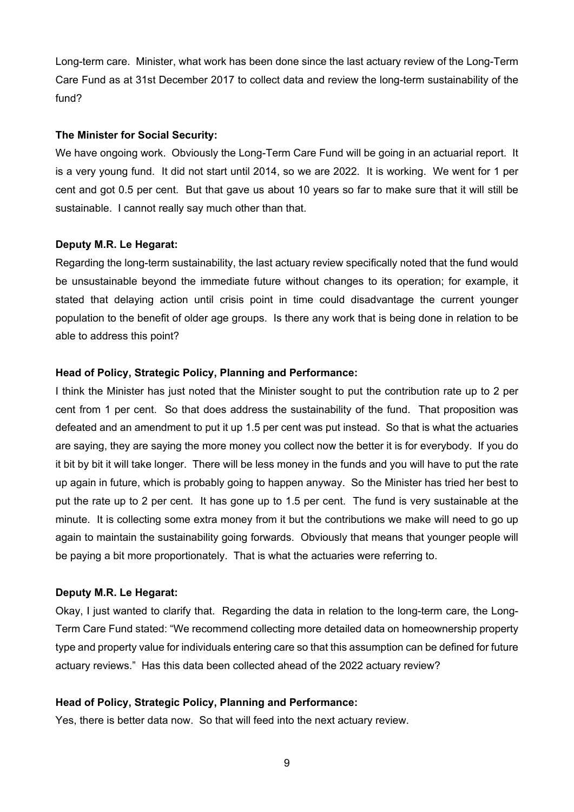Long-term care. Minister, what work has been done since the last actuary review of the Long-Term Care Fund as at 31st December 2017 to collect data and review the long-term sustainability of the fund?

#### **The Minister for Social Security:**

We have ongoing work. Obviously the Long-Term Care Fund will be going in an actuarial report. It is a very young fund. It did not start until 2014, so we are 2022. It is working. We went for 1 per cent and got 0.5 per cent. But that gave us about 10 years so far to make sure that it will still be sustainable. I cannot really say much other than that.

## **Deputy M.R. Le Hegarat:**

Regarding the long-term sustainability, the last actuary review specifically noted that the fund would be unsustainable beyond the immediate future without changes to its operation; for example, it stated that delaying action until crisis point in time could disadvantage the current younger population to the benefit of older age groups. Is there any work that is being done in relation to be able to address this point?

#### **Head of Policy, Strategic Policy, Planning and Performance:**

I think the Minister has just noted that the Minister sought to put the contribution rate up to 2 per cent from 1 per cent. So that does address the sustainability of the fund. That proposition was defeated and an amendment to put it up 1.5 per cent was put instead. So that is what the actuaries are saying, they are saying the more money you collect now the better it is for everybody. If you do it bit by bit it will take longer. There will be less money in the funds and you will have to put the rate up again in future, which is probably going to happen anyway. So the Minister has tried her best to put the rate up to 2 per cent. It has gone up to 1.5 per cent. The fund is very sustainable at the minute. It is collecting some extra money from it but the contributions we make will need to go up again to maintain the sustainability going forwards. Obviously that means that younger people will be paying a bit more proportionately. That is what the actuaries were referring to.

#### **Deputy M.R. Le Hegarat:**

Okay, I just wanted to clarify that. Regarding the data in relation to the long-term care, the Long-Term Care Fund stated: "We recommend collecting more detailed data on homeownership property type and property value for individuals entering care so that this assumption can be defined for future actuary reviews." Has this data been collected ahead of the 2022 actuary review?

# **Head of Policy, Strategic Policy, Planning and Performance:**

Yes, there is better data now. So that will feed into the next actuary review.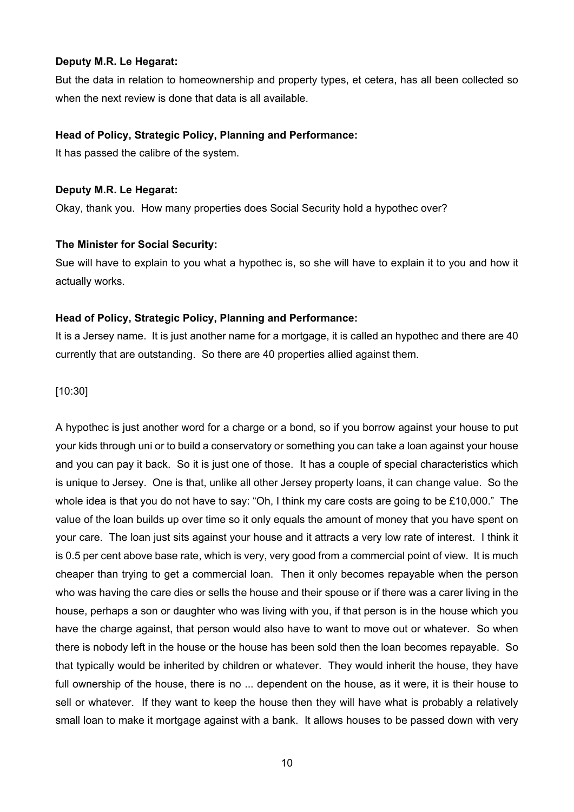# **Deputy M.R. Le Hegarat:**

But the data in relation to homeownership and property types, et cetera, has all been collected so when the next review is done that data is all available.

# **Head of Policy, Strategic Policy, Planning and Performance:**

It has passed the calibre of the system.

# **Deputy M.R. Le Hegarat:**

Okay, thank you. How many properties does Social Security hold a hypothec over?

# **The Minister for Social Security:**

Sue will have to explain to you what a hypothec is, so she will have to explain it to you and how it actually works.

# **Head of Policy, Strategic Policy, Planning and Performance:**

It is a Jersey name. It is just another name for a mortgage, it is called an hypothec and there are 40 currently that are outstanding. So there are 40 properties allied against them.

# [10:30]

A hypothec is just another word for a charge or a bond, so if you borrow against your house to put your kids through uni or to build a conservatory or something you can take a loan against your house and you can pay it back. So it is just one of those. It has a couple of special characteristics which is unique to Jersey. One is that, unlike all other Jersey property loans, it can change value. So the whole idea is that you do not have to say: "Oh, I think my care costs are going to be £10,000." The value of the loan builds up over time so it only equals the amount of money that you have spent on your care. The loan just sits against your house and it attracts a very low rate of interest. I think it is 0.5 per cent above base rate, which is very, very good from a commercial point of view. It is much cheaper than trying to get a commercial loan. Then it only becomes repayable when the person who was having the care dies or sells the house and their spouse or if there was a carer living in the house, perhaps a son or daughter who was living with you, if that person is in the house which you have the charge against, that person would also have to want to move out or whatever. So when there is nobody left in the house or the house has been sold then the loan becomes repayable. So that typically would be inherited by children or whatever. They would inherit the house, they have full ownership of the house, there is no ... dependent on the house, as it were, it is their house to sell or whatever. If they want to keep the house then they will have what is probably a relatively small loan to make it mortgage against with a bank. It allows houses to be passed down with very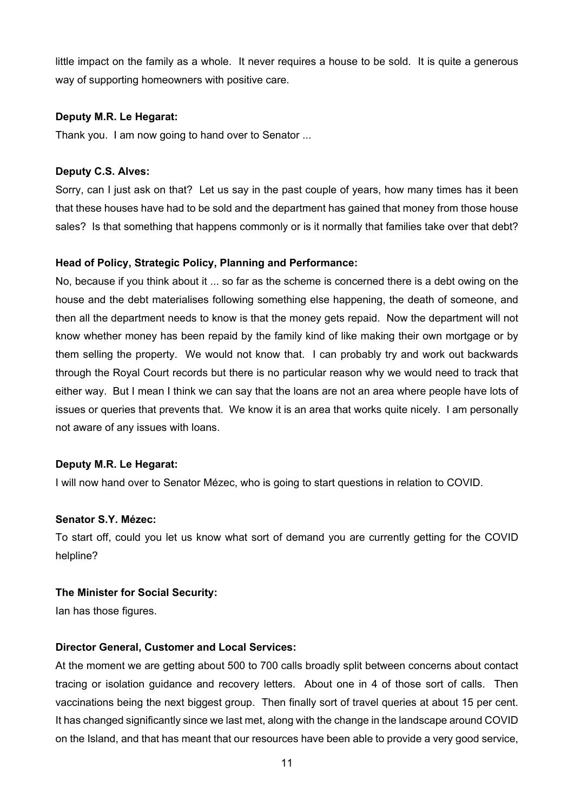little impact on the family as a whole. It never requires a house to be sold. It is quite a generous way of supporting homeowners with positive care.

# **Deputy M.R. Le Hegarat:**

Thank you. I am now going to hand over to Senator ...

# **Deputy C.S. Alves:**

Sorry, can I just ask on that? Let us say in the past couple of years, how many times has it been that these houses have had to be sold and the department has gained that money from those house sales? Is that something that happens commonly or is it normally that families take over that debt?

# **Head of Policy, Strategic Policy, Planning and Performance:**

No, because if you think about it ... so far as the scheme is concerned there is a debt owing on the house and the debt materialises following something else happening, the death of someone, and then all the department needs to know is that the money gets repaid. Now the department will not know whether money has been repaid by the family kind of like making their own mortgage or by them selling the property. We would not know that. I can probably try and work out backwards through the Royal Court records but there is no particular reason why we would need to track that either way. But I mean I think we can say that the loans are not an area where people have lots of issues or queries that prevents that. We know it is an area that works quite nicely. I am personally not aware of any issues with loans.

## **Deputy M.R. Le Hegarat:**

I will now hand over to Senator Mézec, who is going to start questions in relation to COVID.

## **Senator S.Y. Mézec:**

To start off, could you let us know what sort of demand you are currently getting for the COVID helpline?

## **The Minister for Social Security:**

Ian has those figures.

## **Director General, Customer and Local Services:**

At the moment we are getting about 500 to 700 calls broadly split between concerns about contact tracing or isolation guidance and recovery letters. About one in 4 of those sort of calls. Then vaccinations being the next biggest group. Then finally sort of travel queries at about 15 per cent. It has changed significantly since we last met, along with the change in the landscape around COVID on the Island, and that has meant that our resources have been able to provide a very good service,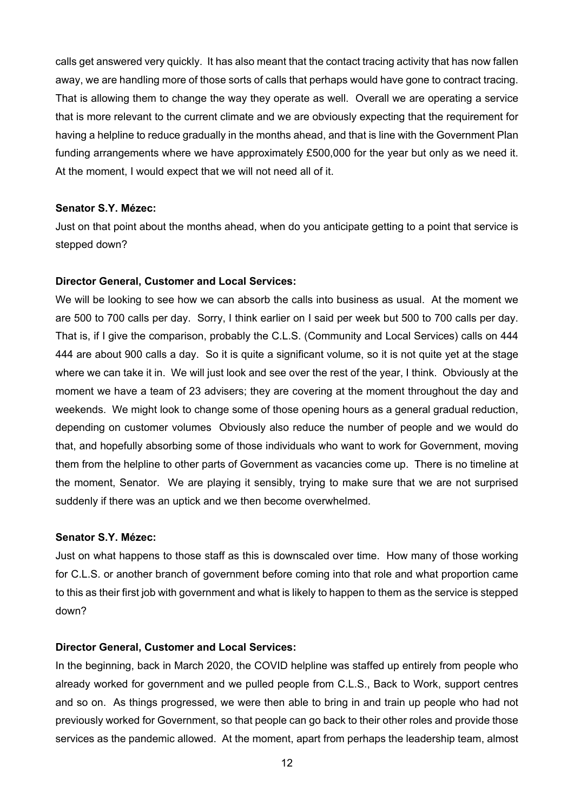calls get answered very quickly. It has also meant that the contact tracing activity that has now fallen away, we are handling more of those sorts of calls that perhaps would have gone to contract tracing. That is allowing them to change the way they operate as well. Overall we are operating a service that is more relevant to the current climate and we are obviously expecting that the requirement for having a helpline to reduce gradually in the months ahead, and that is line with the Government Plan funding arrangements where we have approximately £500,000 for the year but only as we need it. At the moment, I would expect that we will not need all of it.

#### **Senator S.Y. Mézec:**

Just on that point about the months ahead, when do you anticipate getting to a point that service is stepped down?

#### **Director General, Customer and Local Services:**

We will be looking to see how we can absorb the calls into business as usual. At the moment we are 500 to 700 calls per day. Sorry, I think earlier on I said per week but 500 to 700 calls per day. That is, if I give the comparison, probably the C.L.S. (Community and Local Services) calls on 444 444 are about 900 calls a day. So it is quite a significant volume, so it is not quite yet at the stage where we can take it in. We will just look and see over the rest of the year, I think. Obviously at the moment we have a team of 23 advisers; they are covering at the moment throughout the day and weekends. We might look to change some of those opening hours as a general gradual reduction, depending on customer volumes Obviously also reduce the number of people and we would do that, and hopefully absorbing some of those individuals who want to work for Government, moving them from the helpline to other parts of Government as vacancies come up. There is no timeline at the moment, Senator. We are playing it sensibly, trying to make sure that we are not surprised suddenly if there was an uptick and we then become overwhelmed.

#### **Senator S.Y. Mézec:**

Just on what happens to those staff as this is downscaled over time. How many of those working for C.L.S. or another branch of government before coming into that role and what proportion came to this as their first job with government and what is likely to happen to them as the service is stepped down?

#### **Director General, Customer and Local Services:**

In the beginning, back in March 2020, the COVID helpline was staffed up entirely from people who already worked for government and we pulled people from C.L.S., Back to Work, support centres and so on. As things progressed, we were then able to bring in and train up people who had not previously worked for Government, so that people can go back to their other roles and provide those services as the pandemic allowed. At the moment, apart from perhaps the leadership team, almost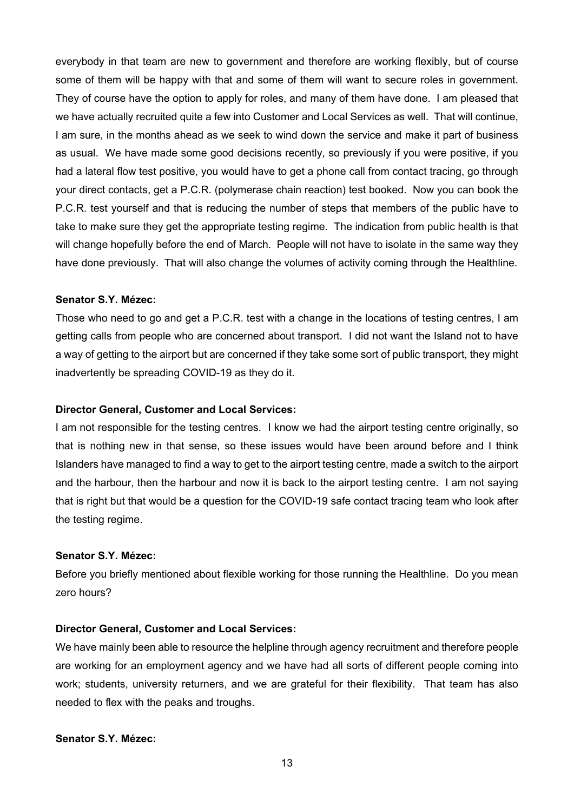everybody in that team are new to government and therefore are working flexibly, but of course some of them will be happy with that and some of them will want to secure roles in government. They of course have the option to apply for roles, and many of them have done. I am pleased that we have actually recruited quite a few into Customer and Local Services as well. That will continue, I am sure, in the months ahead as we seek to wind down the service and make it part of business as usual. We have made some good decisions recently, so previously if you were positive, if you had a lateral flow test positive, you would have to get a phone call from contact tracing, go through your direct contacts, get a P.C.R. (polymerase chain reaction) test booked. Now you can book the P.C.R. test yourself and that is reducing the number of steps that members of the public have to take to make sure they get the appropriate testing regime. The indication from public health is that will change hopefully before the end of March. People will not have to isolate in the same way they have done previously. That will also change the volumes of activity coming through the Healthline.

#### **Senator S.Y. Mézec:**

Those who need to go and get a P.C.R. test with a change in the locations of testing centres, I am getting calls from people who are concerned about transport. I did not want the Island not to have a way of getting to the airport but are concerned if they take some sort of public transport, they might inadvertently be spreading COVID-19 as they do it.

## **Director General, Customer and Local Services:**

I am not responsible for the testing centres. I know we had the airport testing centre originally, so that is nothing new in that sense, so these issues would have been around before and I think Islanders have managed to find a way to get to the airport testing centre, made a switch to the airport and the harbour, then the harbour and now it is back to the airport testing centre. I am not saying that is right but that would be a question for the COVID-19 safe contact tracing team who look after the testing regime.

## **Senator S.Y. Mézec:**

Before you briefly mentioned about flexible working for those running the Healthline. Do you mean zero hours?

# **Director General, Customer and Local Services:**

We have mainly been able to resource the helpline through agency recruitment and therefore people are working for an employment agency and we have had all sorts of different people coming into work; students, university returners, and we are grateful for their flexibility. That team has also needed to flex with the peaks and troughs.

## **Senator S.Y. Mézec:**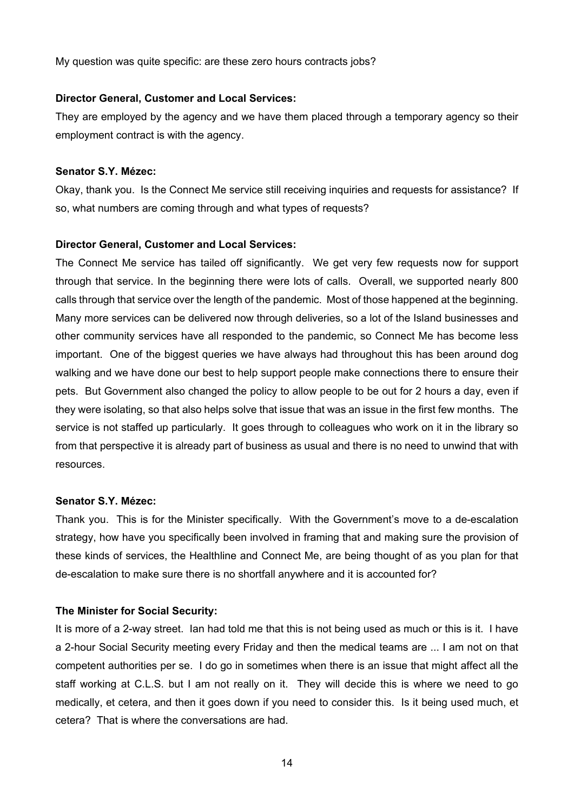My question was quite specific: are these zero hours contracts jobs?

#### **Director General, Customer and Local Services:**

They are employed by the agency and we have them placed through a temporary agency so their employment contract is with the agency.

## **Senator S.Y. Mézec:**

Okay, thank you. Is the Connect Me service still receiving inquiries and requests for assistance? If so, what numbers are coming through and what types of requests?

## **Director General, Customer and Local Services:**

The Connect Me service has tailed off significantly. We get very few requests now for support through that service. In the beginning there were lots of calls. Overall, we supported nearly 800 calls through that service over the length of the pandemic. Most of those happened at the beginning. Many more services can be delivered now through deliveries, so a lot of the Island businesses and other community services have all responded to the pandemic, so Connect Me has become less important. One of the biggest queries we have always had throughout this has been around dog walking and we have done our best to help support people make connections there to ensure their pets. But Government also changed the policy to allow people to be out for 2 hours a day, even if they were isolating, so that also helps solve that issue that was an issue in the first few months. The service is not staffed up particularly. It goes through to colleagues who work on it in the library so from that perspective it is already part of business as usual and there is no need to unwind that with resources.

#### **Senator S.Y. Mézec:**

Thank you. This is for the Minister specifically. With the Government's move to a de-escalation strategy, how have you specifically been involved in framing that and making sure the provision of these kinds of services, the Healthline and Connect Me, are being thought of as you plan for that de-escalation to make sure there is no shortfall anywhere and it is accounted for?

## **The Minister for Social Security:**

It is more of a 2-way street. Ian had told me that this is not being used as much or this is it. I have a 2-hour Social Security meeting every Friday and then the medical teams are ... I am not on that competent authorities per se. I do go in sometimes when there is an issue that might affect all the staff working at C.L.S. but I am not really on it. They will decide this is where we need to go medically, et cetera, and then it goes down if you need to consider this. Is it being used much, et cetera? That is where the conversations are had.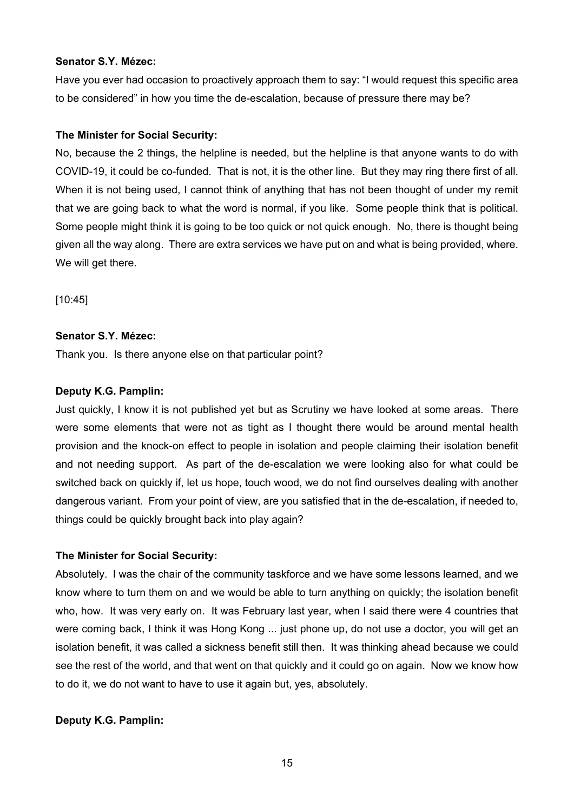## **Senator S.Y. Mézec:**

Have you ever had occasion to proactively approach them to say: "I would request this specific area to be considered" in how you time the de-escalation, because of pressure there may be?

# **The Minister for Social Security:**

No, because the 2 things, the helpline is needed, but the helpline is that anyone wants to do with COVID-19, it could be co-funded. That is not, it is the other line. But they may ring there first of all. When it is not being used, I cannot think of anything that has not been thought of under my remit that we are going back to what the word is normal, if you like. Some people think that is political. Some people might think it is going to be too quick or not quick enough. No, there is thought being given all the way along. There are extra services we have put on and what is being provided, where. We will get there.

[10:45]

# **Senator S.Y. Mézec:**

Thank you. Is there anyone else on that particular point?

# **Deputy K.G. Pamplin:**

Just quickly, I know it is not published yet but as Scrutiny we have looked at some areas. There were some elements that were not as tight as I thought there would be around mental health provision and the knock-on effect to people in isolation and people claiming their isolation benefit and not needing support. As part of the de-escalation we were looking also for what could be switched back on quickly if, let us hope, touch wood, we do not find ourselves dealing with another dangerous variant. From your point of view, are you satisfied that in the de-escalation, if needed to, things could be quickly brought back into play again?

# **The Minister for Social Security:**

Absolutely. I was the chair of the community taskforce and we have some lessons learned, and we know where to turn them on and we would be able to turn anything on quickly; the isolation benefit who, how. It was very early on. It was February last year, when I said there were 4 countries that were coming back, I think it was Hong Kong ... just phone up, do not use a doctor, you will get an isolation benefit, it was called a sickness benefit still then. It was thinking ahead because we could see the rest of the world, and that went on that quickly and it could go on again. Now we know how to do it, we do not want to have to use it again but, yes, absolutely.

# **Deputy K.G. Pamplin:**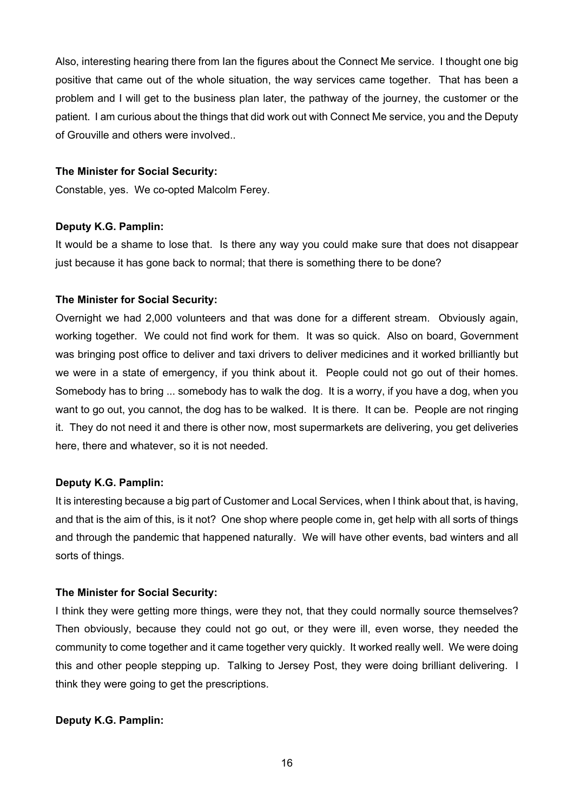Also, interesting hearing there from Ian the figures about the Connect Me service. I thought one big positive that came out of the whole situation, the way services came together. That has been a problem and I will get to the business plan later, the pathway of the journey, the customer or the patient. I am curious about the things that did work out with Connect Me service, you and the Deputy of Grouville and others were involved..

# **The Minister for Social Security:**

Constable, yes. We co-opted Malcolm Ferey.

# **Deputy K.G. Pamplin:**

It would be a shame to lose that. Is there any way you could make sure that does not disappear just because it has gone back to normal; that there is something there to be done?

# **The Minister for Social Security:**

Overnight we had 2,000 volunteers and that was done for a different stream. Obviously again, working together. We could not find work for them. It was so quick. Also on board, Government was bringing post office to deliver and taxi drivers to deliver medicines and it worked brilliantly but we were in a state of emergency, if you think about it. People could not go out of their homes. Somebody has to bring ... somebody has to walk the dog. It is a worry, if you have a dog, when you want to go out, you cannot, the dog has to be walked. It is there. It can be. People are not ringing it. They do not need it and there is other now, most supermarkets are delivering, you get deliveries here, there and whatever, so it is not needed.

# **Deputy K.G. Pamplin:**

It is interesting because a big part of Customer and Local Services, when I think about that, is having, and that is the aim of this, is it not? One shop where people come in, get help with all sorts of things and through the pandemic that happened naturally. We will have other events, bad winters and all sorts of things.

## **The Minister for Social Security:**

I think they were getting more things, were they not, that they could normally source themselves? Then obviously, because they could not go out, or they were ill, even worse, they needed the community to come together and it came together very quickly. It worked really well. We were doing this and other people stepping up. Talking to Jersey Post, they were doing brilliant delivering. I think they were going to get the prescriptions.

# **Deputy K.G. Pamplin:**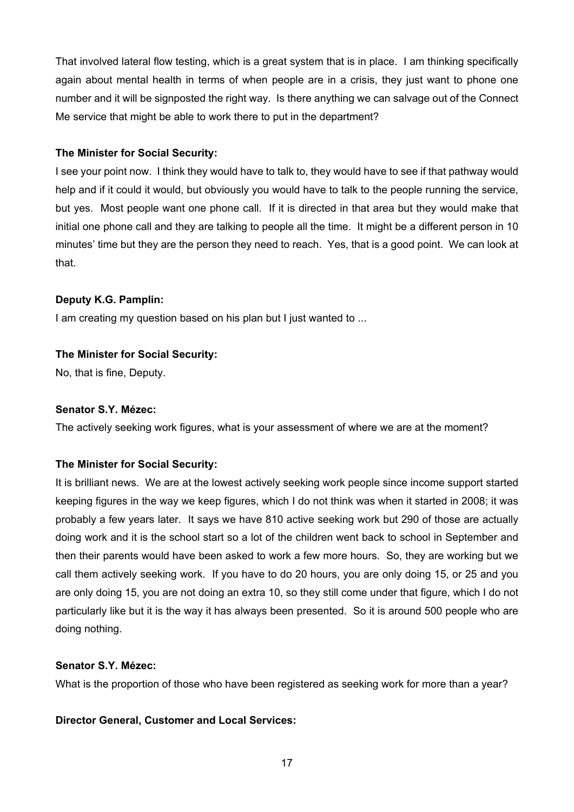That involved lateral flow testing, which is a great system that is in place. I am thinking specifically again about mental health in terms of when people are in a crisis, they just want to phone one number and it will be signposted the right way. Is there anything we can salvage out of the Connect Me service that might be able to work there to put in the department?

# **The Minister for Social Security:**

I see your point now. I think they would have to talk to, they would have to see if that pathway would help and if it could it would, but obviously you would have to talk to the people running the service, but yes. Most people want one phone call. If it is directed in that area but they would make that initial one phone call and they are talking to people all the time. It might be a different person in 10 minutes' time but they are the person they need to reach. Yes, that is a good point. We can look at that.

# **Deputy K.G. Pamplin:**

I am creating my question based on his plan but I just wanted to ...

# **The Minister for Social Security:**

No, that is fine, Deputy.

# **Senator S.Y. Mézec:**

The actively seeking work figures, what is your assessment of where we are at the moment?

# **The Minister for Social Security:**

It is brilliant news. We are at the lowest actively seeking work people since income support started keeping figures in the way we keep figures, which I do not think was when it started in 2008; it was probably a few years later. It says we have 810 active seeking work but 290 of those are actually doing work and it is the school start so a lot of the children went back to school in September and then their parents would have been asked to work a few more hours. So, they are working but we call them actively seeking work. If you have to do 20 hours, you are only doing 15, or 25 and you are only doing 15, you are not doing an extra 10, so they still come under that figure, which I do not particularly like but it is the way it has always been presented. So it is around 500 people who are doing nothing.

# **Senator S.Y. Mézec:**

What is the proportion of those who have been registered as seeking work for more than a year?

# **Director General, Customer and Local Services:**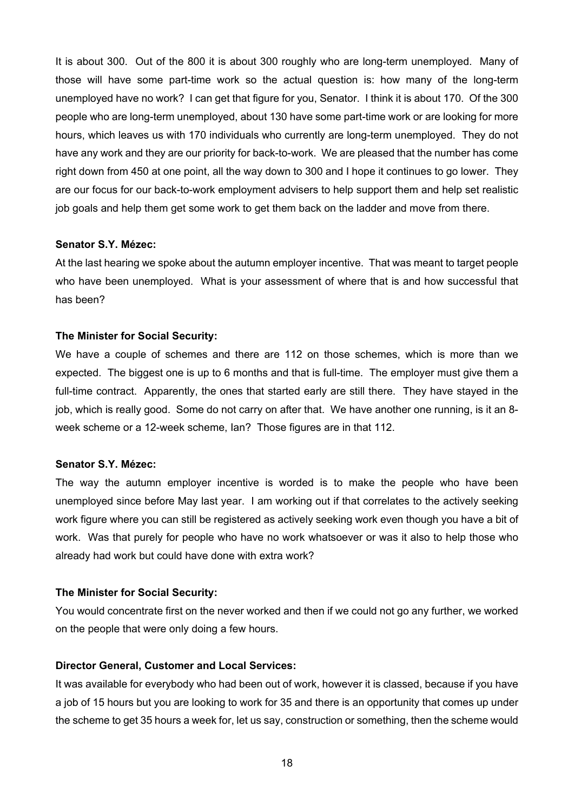It is about 300. Out of the 800 it is about 300 roughly who are long-term unemployed. Many of those will have some part-time work so the actual question is: how many of the long-term unemployed have no work? I can get that figure for you, Senator. I think it is about 170. Of the 300 people who are long-term unemployed, about 130 have some part-time work or are looking for more hours, which leaves us with 170 individuals who currently are long-term unemployed. They do not have any work and they are our priority for back-to-work. We are pleased that the number has come right down from 450 at one point, all the way down to 300 and I hope it continues to go lower. They are our focus for our back-to-work employment advisers to help support them and help set realistic job goals and help them get some work to get them back on the ladder and move from there.

#### **Senator S.Y. Mézec:**

At the last hearing we spoke about the autumn employer incentive. That was meant to target people who have been unemployed. What is your assessment of where that is and how successful that has been?

#### **The Minister for Social Security:**

We have a couple of schemes and there are 112 on those schemes, which is more than we expected. The biggest one is up to 6 months and that is full-time. The employer must give them a full-time contract. Apparently, the ones that started early are still there. They have stayed in the job, which is really good. Some do not carry on after that. We have another one running, is it an 8week scheme or a 12-week scheme, Ian? Those figures are in that 112.

## **Senator S.Y. Mézec:**

The way the autumn employer incentive is worded is to make the people who have been unemployed since before May last year. I am working out if that correlates to the actively seeking work figure where you can still be registered as actively seeking work even though you have a bit of work. Was that purely for people who have no work whatsoever or was it also to help those who already had work but could have done with extra work?

#### **The Minister for Social Security:**

You would concentrate first on the never worked and then if we could not go any further, we worked on the people that were only doing a few hours.

## **Director General, Customer and Local Services:**

It was available for everybody who had been out of work, however it is classed, because if you have a job of 15 hours but you are looking to work for 35 and there is an opportunity that comes up under the scheme to get 35 hours a week for, let us say, construction or something, then the scheme would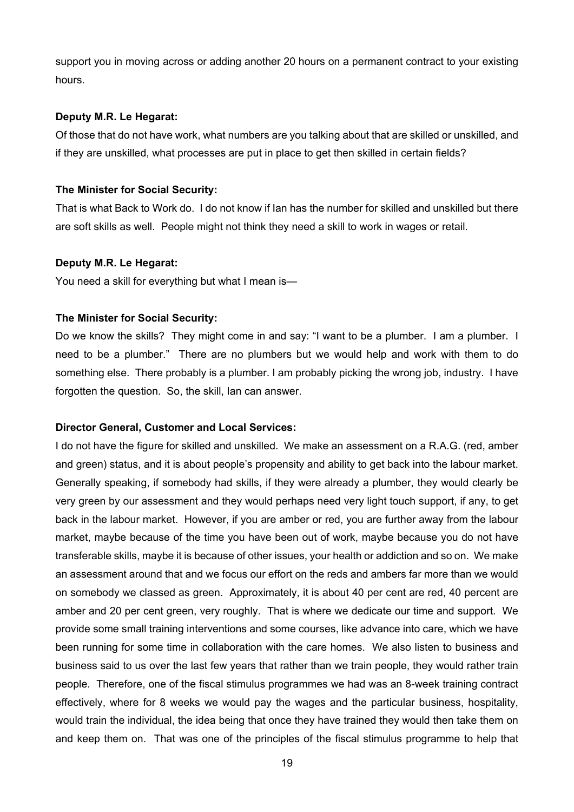support you in moving across or adding another 20 hours on a permanent contract to your existing hours.

## **Deputy M.R. Le Hegarat:**

Of those that do not have work, what numbers are you talking about that are skilled or unskilled, and if they are unskilled, what processes are put in place to get then skilled in certain fields?

## **The Minister for Social Security:**

That is what Back to Work do. I do not know if Ian has the number for skilled and unskilled but there are soft skills as well. People might not think they need a skill to work in wages or retail.

#### **Deputy M.R. Le Hegarat:**

You need a skill for everything but what I mean is—

## **The Minister for Social Security:**

Do we know the skills? They might come in and say: "I want to be a plumber. I am a plumber. I need to be a plumber." There are no plumbers but we would help and work with them to do something else. There probably is a plumber. I am probably picking the wrong job, industry. I have forgotten the question. So, the skill, Ian can answer.

## **Director General, Customer and Local Services:**

I do not have the figure for skilled and unskilled. We make an assessment on a R.A.G. (red, amber and green) status, and it is about people's propensity and ability to get back into the labour market. Generally speaking, if somebody had skills, if they were already a plumber, they would clearly be very green by our assessment and they would perhaps need very light touch support, if any, to get back in the labour market. However, if you are amber or red, you are further away from the labour market, maybe because of the time you have been out of work, maybe because you do not have transferable skills, maybe it is because of other issues, your health or addiction and so on. We make an assessment around that and we focus our effort on the reds and ambers far more than we would on somebody we classed as green. Approximately, it is about 40 per cent are red, 40 percent are amber and 20 per cent green, very roughly. That is where we dedicate our time and support. We provide some small training interventions and some courses, like advance into care, which we have been running for some time in collaboration with the care homes. We also listen to business and business said to us over the last few years that rather than we train people, they would rather train people. Therefore, one of the fiscal stimulus programmes we had was an 8-week training contract effectively, where for 8 weeks we would pay the wages and the particular business, hospitality, would train the individual, the idea being that once they have trained they would then take them on and keep them on. That was one of the principles of the fiscal stimulus programme to help that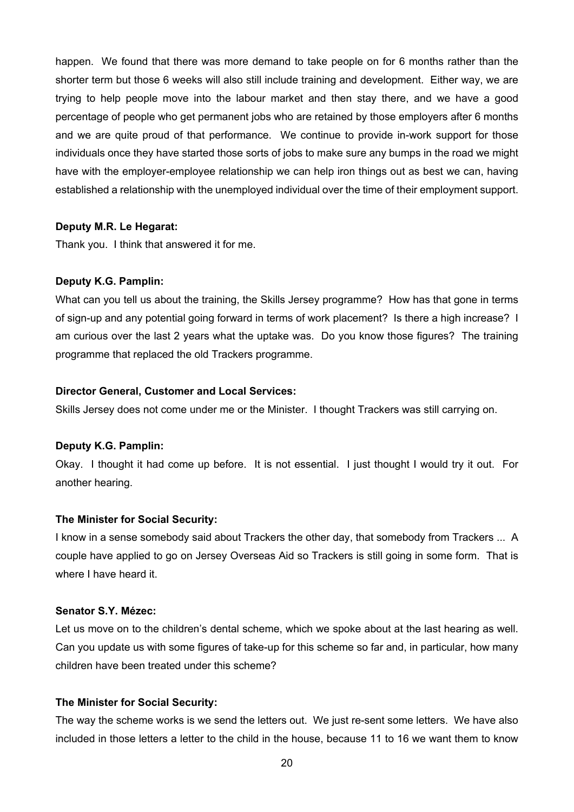happen. We found that there was more demand to take people on for 6 months rather than the shorter term but those 6 weeks will also still include training and development. Either way, we are trying to help people move into the labour market and then stay there, and we have a good percentage of people who get permanent jobs who are retained by those employers after 6 months and we are quite proud of that performance. We continue to provide in-work support for those individuals once they have started those sorts of jobs to make sure any bumps in the road we might have with the employer-employee relationship we can help iron things out as best we can, having established a relationship with the unemployed individual over the time of their employment support.

# **Deputy M.R. Le Hegarat:**

Thank you. I think that answered it for me.

# **Deputy K.G. Pamplin:**

What can you tell us about the training, the Skills Jersey programme? How has that gone in terms of sign-up and any potential going forward in terms of work placement? Is there a high increase? I am curious over the last 2 years what the uptake was. Do you know those figures? The training programme that replaced the old Trackers programme.

# **Director General, Customer and Local Services:**

Skills Jersey does not come under me or the Minister. I thought Trackers was still carrying on.

## **Deputy K.G. Pamplin:**

Okay. I thought it had come up before. It is not essential. I just thought I would try it out. For another hearing.

# **The Minister for Social Security:**

I know in a sense somebody said about Trackers the other day, that somebody from Trackers ... A couple have applied to go on Jersey Overseas Aid so Trackers is still going in some form. That is where I have heard it.

# **Senator S.Y. Mézec:**

Let us move on to the children's dental scheme, which we spoke about at the last hearing as well. Can you update us with some figures of take-up for this scheme so far and, in particular, how many children have been treated under this scheme?

# **The Minister for Social Security:**

The way the scheme works is we send the letters out. We just re-sent some letters. We have also included in those letters a letter to the child in the house, because 11 to 16 we want them to know

20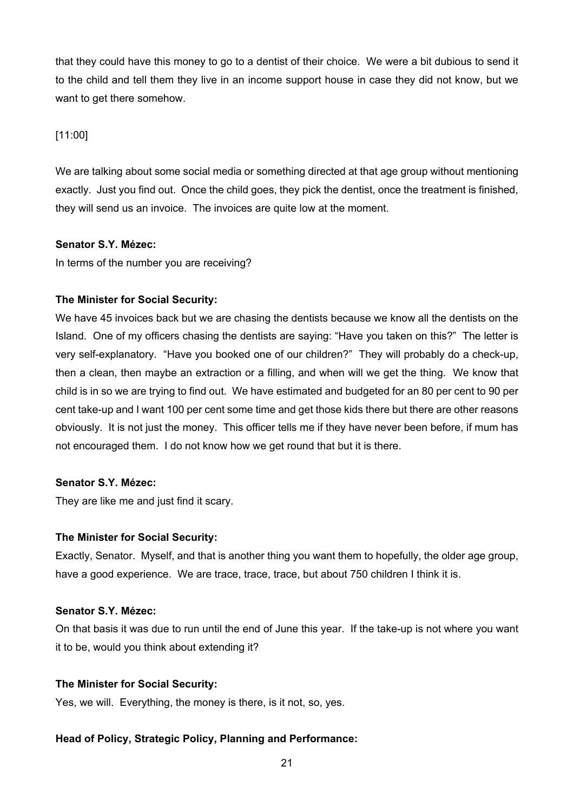that they could have this money to go to a dentist of their choice. We were a bit dubious to send it to the child and tell them they live in an income support house in case they did not know, but we want to get there somehow.

[11:00]

We are talking about some social media or something directed at that age group without mentioning exactly. Just you find out. Once the child goes, they pick the dentist, once the treatment is finished, they will send us an invoice. The invoices are quite low at the moment.

# **Senator S.Y. Mézec:**

In terms of the number you are receiving?

# **The Minister for Social Security:**

We have 45 invoices back but we are chasing the dentists because we know all the dentists on the Island. One of my officers chasing the dentists are saying: "Have you taken on this?" The letter is very self-explanatory. "Have you booked one of our children?" They will probably do a check-up, then a clean, then maybe an extraction or a filling, and when will we get the thing. We know that child is in so we are trying to find out. We have estimated and budgeted for an 80 per cent to 90 per cent take-up and I want 100 per cent some time and get those kids there but there are other reasons obviously. It is not just the money. This officer tells me if they have never been before, if mum has not encouraged them. I do not know how we get round that but it is there.

# **Senator S.Y. Mézec:**

They are like me and just find it scary.

# **The Minister for Social Security:**

Exactly, Senator. Myself, and that is another thing you want them to hopefully, the older age group, have a good experience. We are trace, trace, trace, but about 750 children I think it is.

# **Senator S.Y. Mézec:**

On that basis it was due to run until the end of June this year. If the take-up is not where you want it to be, would you think about extending it?

# **The Minister for Social Security:**

Yes, we will. Everything, the money is there, is it not, so, yes.

# **Head of Policy, Strategic Policy, Planning and Performance:**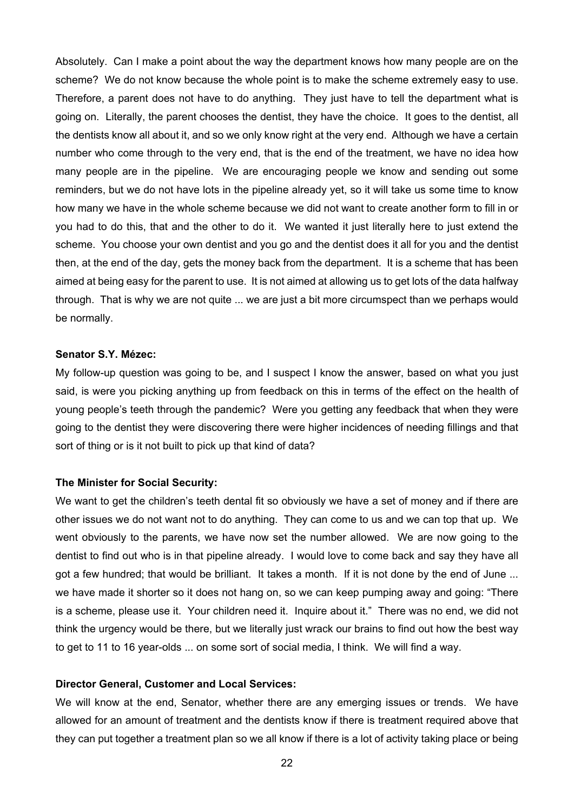Absolutely. Can I make a point about the way the department knows how many people are on the scheme? We do not know because the whole point is to make the scheme extremely easy to use. Therefore, a parent does not have to do anything. They just have to tell the department what is going on. Literally, the parent chooses the dentist, they have the choice. It goes to the dentist, all the dentists know all about it, and so we only know right at the very end. Although we have a certain number who come through to the very end, that is the end of the treatment, we have no idea how many people are in the pipeline. We are encouraging people we know and sending out some reminders, but we do not have lots in the pipeline already yet, so it will take us some time to know how many we have in the whole scheme because we did not want to create another form to fill in or you had to do this, that and the other to do it. We wanted it just literally here to just extend the scheme. You choose your own dentist and you go and the dentist does it all for you and the dentist then, at the end of the day, gets the money back from the department. It is a scheme that has been aimed at being easy for the parent to use. It is not aimed at allowing us to get lots of the data halfway through. That is why we are not quite ... we are just a bit more circumspect than we perhaps would be normally.

# **Senator S.Y. Mézec:**

My follow-up question was going to be, and I suspect I know the answer, based on what you just said, is were you picking anything up from feedback on this in terms of the effect on the health of young people's teeth through the pandemic? Were you getting any feedback that when they were going to the dentist they were discovering there were higher incidences of needing fillings and that sort of thing or is it not built to pick up that kind of data?

#### **The Minister for Social Security:**

We want to get the children's teeth dental fit so obviously we have a set of money and if there are other issues we do not want not to do anything. They can come to us and we can top that up. We went obviously to the parents, we have now set the number allowed. We are now going to the dentist to find out who is in that pipeline already. I would love to come back and say they have all got a few hundred; that would be brilliant. It takes a month. If it is not done by the end of June ... we have made it shorter so it does not hang on, so we can keep pumping away and going: "There is a scheme, please use it. Your children need it. Inquire about it." There was no end, we did not think the urgency would be there, but we literally just wrack our brains to find out how the best way to get to 11 to 16 year-olds ... on some sort of social media, I think. We will find a way.

#### **Director General, Customer and Local Services:**

We will know at the end, Senator, whether there are any emerging issues or trends. We have allowed for an amount of treatment and the dentists know if there is treatment required above that they can put together a treatment plan so we all know if there is a lot of activity taking place or being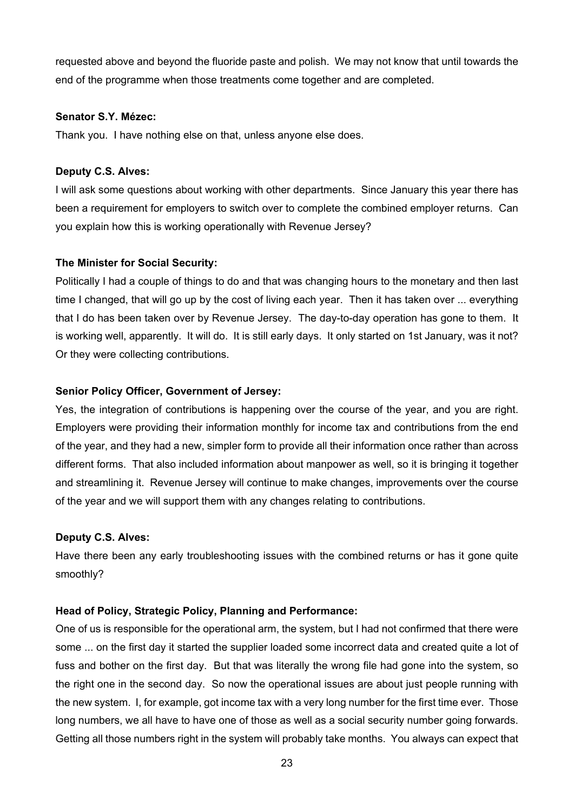requested above and beyond the fluoride paste and polish. We may not know that until towards the end of the programme when those treatments come together and are completed.

## **Senator S.Y. Mézec:**

Thank you. I have nothing else on that, unless anyone else does.

# **Deputy C.S. Alves:**

I will ask some questions about working with other departments. Since January this year there has been a requirement for employers to switch over to complete the combined employer returns. Can you explain how this is working operationally with Revenue Jersey?

# **The Minister for Social Security:**

Politically I had a couple of things to do and that was changing hours to the monetary and then last time I changed, that will go up by the cost of living each year. Then it has taken over ... everything that I do has been taken over by Revenue Jersey. The day-to-day operation has gone to them. It is working well, apparently. It will do. It is still early days. It only started on 1st January, was it not? Or they were collecting contributions.

# **Senior Policy Officer, Government of Jersey:**

Yes, the integration of contributions is happening over the course of the year, and you are right. Employers were providing their information monthly for income tax and contributions from the end of the year, and they had a new, simpler form to provide all their information once rather than across different forms. That also included information about manpower as well, so it is bringing it together and streamlining it. Revenue Jersey will continue to make changes, improvements over the course of the year and we will support them with any changes relating to contributions.

## **Deputy C.S. Alves:**

Have there been any early troubleshooting issues with the combined returns or has it gone quite smoothly?

# **Head of Policy, Strategic Policy, Planning and Performance:**

One of us is responsible for the operational arm, the system, but I had not confirmed that there were some ... on the first day it started the supplier loaded some incorrect data and created quite a lot of fuss and bother on the first day. But that was literally the wrong file had gone into the system, so the right one in the second day. So now the operational issues are about just people running with the new system. I, for example, got income tax with a very long number for the first time ever. Those long numbers, we all have to have one of those as well as a social security number going forwards. Getting all those numbers right in the system will probably take months. You always can expect that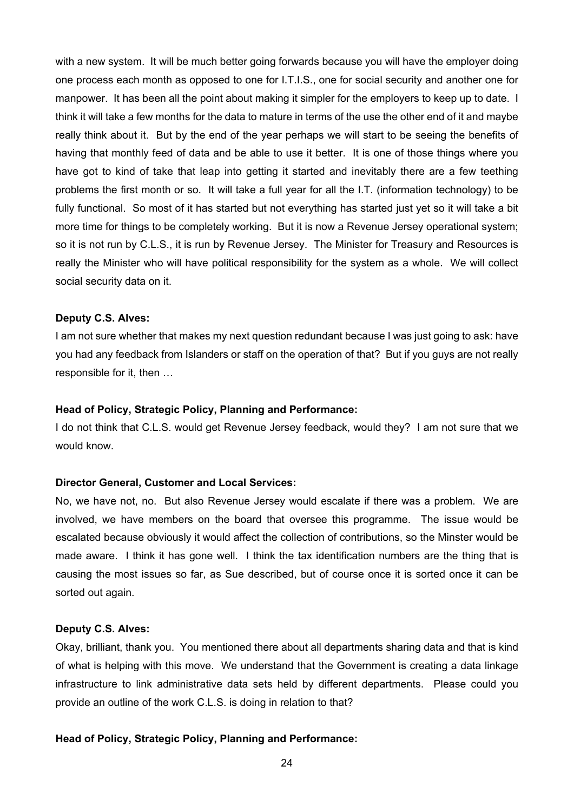with a new system. It will be much better going forwards because you will have the employer doing one process each month as opposed to one for I.T.I.S., one for social security and another one for manpower. It has been all the point about making it simpler for the employers to keep up to date. I think it will take a few months for the data to mature in terms of the use the other end of it and maybe really think about it. But by the end of the year perhaps we will start to be seeing the benefits of having that monthly feed of data and be able to use it better. It is one of those things where you have got to kind of take that leap into getting it started and inevitably there are a few teething problems the first month or so. It will take a full year for all the I.T. (information technology) to be fully functional. So most of it has started but not everything has started just yet so it will take a bit more time for things to be completely working. But it is now a Revenue Jersey operational system; so it is not run by C.L.S., it is run by Revenue Jersey. The Minister for Treasury and Resources is really the Minister who will have political responsibility for the system as a whole. We will collect social security data on it.

#### **Deputy C.S. Alves:**

I am not sure whether that makes my next question redundant because I was just going to ask: have you had any feedback from Islanders or staff on the operation of that? But if you guys are not really responsible for it, then …

#### **Head of Policy, Strategic Policy, Planning and Performance:**

I do not think that C.L.S. would get Revenue Jersey feedback, would they? I am not sure that we would know.

#### **Director General, Customer and Local Services:**

No, we have not, no. But also Revenue Jersey would escalate if there was a problem. We are involved, we have members on the board that oversee this programme. The issue would be escalated because obviously it would affect the collection of contributions, so the Minster would be made aware. I think it has gone well. I think the tax identification numbers are the thing that is causing the most issues so far, as Sue described, but of course once it is sorted once it can be sorted out again.

# **Deputy C.S. Alves:**

Okay, brilliant, thank you. You mentioned there about all departments sharing data and that is kind of what is helping with this move. We understand that the Government is creating a data linkage infrastructure to link administrative data sets held by different departments. Please could you provide an outline of the work C.L.S. is doing in relation to that?

#### **Head of Policy, Strategic Policy, Planning and Performance:**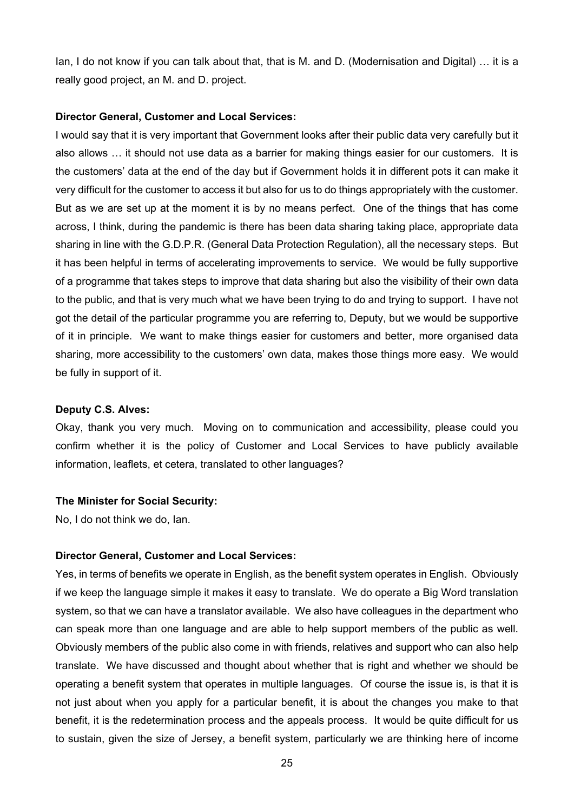Ian, I do not know if you can talk about that, that is M. and D. (Modernisation and Digital) … it is a really good project, an M. and D. project.

#### **Director General, Customer and Local Services:**

I would say that it is very important that Government looks after their public data very carefully but it also allows … it should not use data as a barrier for making things easier for our customers. It is the customers' data at the end of the day but if Government holds it in different pots it can make it very difficult for the customer to access it but also for us to do things appropriately with the customer. But as we are set up at the moment it is by no means perfect. One of the things that has come across, I think, during the pandemic is there has been data sharing taking place, appropriate data sharing in line with the G.D.P.R. (General Data Protection Regulation), all the necessary steps. But it has been helpful in terms of accelerating improvements to service. We would be fully supportive of a programme that takes steps to improve that data sharing but also the visibility of their own data to the public, and that is very much what we have been trying to do and trying to support. I have not got the detail of the particular programme you are referring to, Deputy, but we would be supportive of it in principle. We want to make things easier for customers and better, more organised data sharing, more accessibility to the customers' own data, makes those things more easy. We would be fully in support of it.

#### **Deputy C.S. Alves:**

Okay, thank you very much. Moving on to communication and accessibility, please could you confirm whether it is the policy of Customer and Local Services to have publicly available information, leaflets, et cetera, translated to other languages?

## **The Minister for Social Security:**

No, I do not think we do, Ian.

#### **Director General, Customer and Local Services:**

Yes, in terms of benefits we operate in English, as the benefit system operates in English. Obviously if we keep the language simple it makes it easy to translate. We do operate a Big Word translation system, so that we can have a translator available. We also have colleagues in the department who can speak more than one language and are able to help support members of the public as well. Obviously members of the public also come in with friends, relatives and support who can also help translate. We have discussed and thought about whether that is right and whether we should be operating a benefit system that operates in multiple languages. Of course the issue is, is that it is not just about when you apply for a particular benefit, it is about the changes you make to that benefit, it is the redetermination process and the appeals process. It would be quite difficult for us to sustain, given the size of Jersey, a benefit system, particularly we are thinking here of income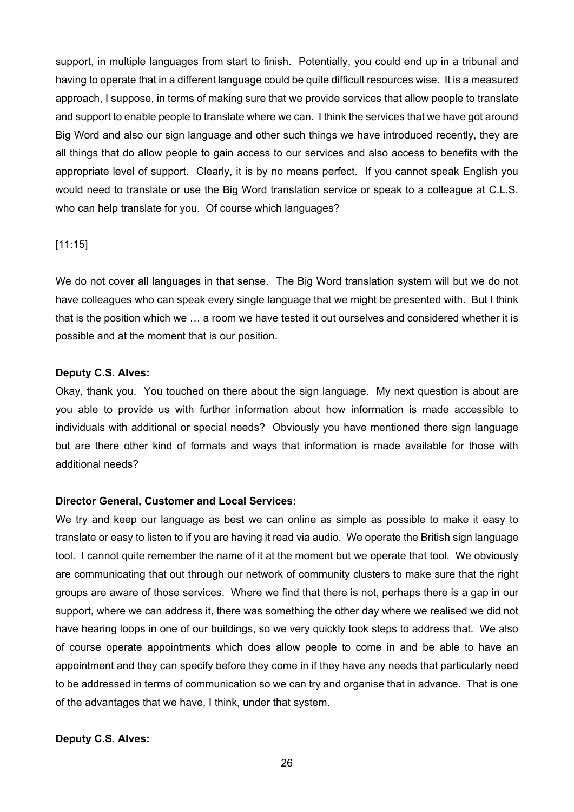support, in multiple languages from start to finish. Potentially, you could end up in a tribunal and having to operate that in a different language could be quite difficult resources wise. It is a measured approach, I suppose, in terms of making sure that we provide services that allow people to translate and support to enable people to translate where we can. I think the services that we have got around Big Word and also our sign language and other such things we have introduced recently, they are all things that do allow people to gain access to our services and also access to benefits with the appropriate level of support. Clearly, it is by no means perfect. If you cannot speak English you would need to translate or use the Big Word translation service or speak to a colleague at C.L.S. who can help translate for you. Of course which languages?

## [11:15]

We do not cover all languages in that sense. The Big Word translation system will but we do not have colleagues who can speak every single language that we might be presented with. But I think that is the position which we … a room we have tested it out ourselves and considered whether it is possible and at the moment that is our position.

## **Deputy C.S. Alves:**

Okay, thank you. You touched on there about the sign language. My next question is about are you able to provide us with further information about how information is made accessible to individuals with additional or special needs? Obviously you have mentioned there sign language but are there other kind of formats and ways that information is made available for those with additional needs?

# **Director General, Customer and Local Services:**

We try and keep our language as best we can online as simple as possible to make it easy to translate or easy to listen to if you are having it read via audio. We operate the British sign language tool. I cannot quite remember the name of it at the moment but we operate that tool. We obviously are communicating that out through our network of community clusters to make sure that the right groups are aware of those services. Where we find that there is not, perhaps there is a gap in our support, where we can address it, there was something the other day where we realised we did not have hearing loops in one of our buildings, so we very quickly took steps to address that. We also of course operate appointments which does allow people to come in and be able to have an appointment and they can specify before they come in if they have any needs that particularly need to be addressed in terms of communication so we can try and organise that in advance. That is one of the advantages that we have, I think, under that system.

# **Deputy C.S. Alves:**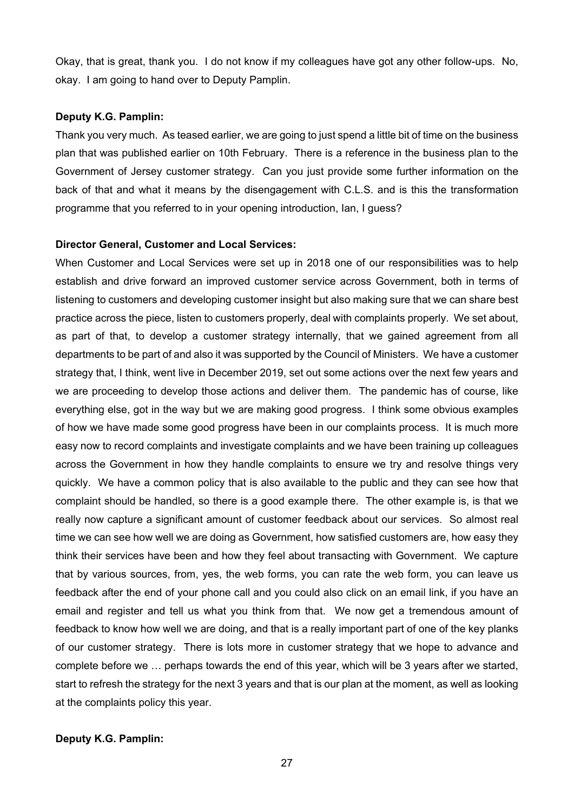Okay, that is great, thank you. I do not know if my colleagues have got any other follow-ups. No, okay. I am going to hand over to Deputy Pamplin.

#### **Deputy K.G. Pamplin:**

Thank you very much. As teased earlier, we are going to just spend a little bit of time on the business plan that was published earlier on 10th February. There is a reference in the business plan to the Government of Jersey customer strategy. Can you just provide some further information on the back of that and what it means by the disengagement with C.L.S. and is this the transformation programme that you referred to in your opening introduction, Ian, I guess?

#### **Director General, Customer and Local Services:**

When Customer and Local Services were set up in 2018 one of our responsibilities was to help establish and drive forward an improved customer service across Government, both in terms of listening to customers and developing customer insight but also making sure that we can share best practice across the piece, listen to customers properly, deal with complaints properly. We set about, as part of that, to develop a customer strategy internally, that we gained agreement from all departments to be part of and also it was supported by the Council of Ministers. We have a customer strategy that, I think, went live in December 2019, set out some actions over the next few years and we are proceeding to develop those actions and deliver them. The pandemic has of course, like everything else, got in the way but we are making good progress. I think some obvious examples of how we have made some good progress have been in our complaints process. It is much more easy now to record complaints and investigate complaints and we have been training up colleagues across the Government in how they handle complaints to ensure we try and resolve things very quickly. We have a common policy that is also available to the public and they can see how that complaint should be handled, so there is a good example there. The other example is, is that we really now capture a significant amount of customer feedback about our services. So almost real time we can see how well we are doing as Government, how satisfied customers are, how easy they think their services have been and how they feel about transacting with Government. We capture that by various sources, from, yes, the web forms, you can rate the web form, you can leave us feedback after the end of your phone call and you could also click on an email link, if you have an email and register and tell us what you think from that. We now get a tremendous amount of feedback to know how well we are doing, and that is a really important part of one of the key planks of our customer strategy. There is lots more in customer strategy that we hope to advance and complete before we … perhaps towards the end of this year, which will be 3 years after we started, start to refresh the strategy for the next 3 years and that is our plan at the moment, as well as looking at the complaints policy this year.

## **Deputy K.G. Pamplin:**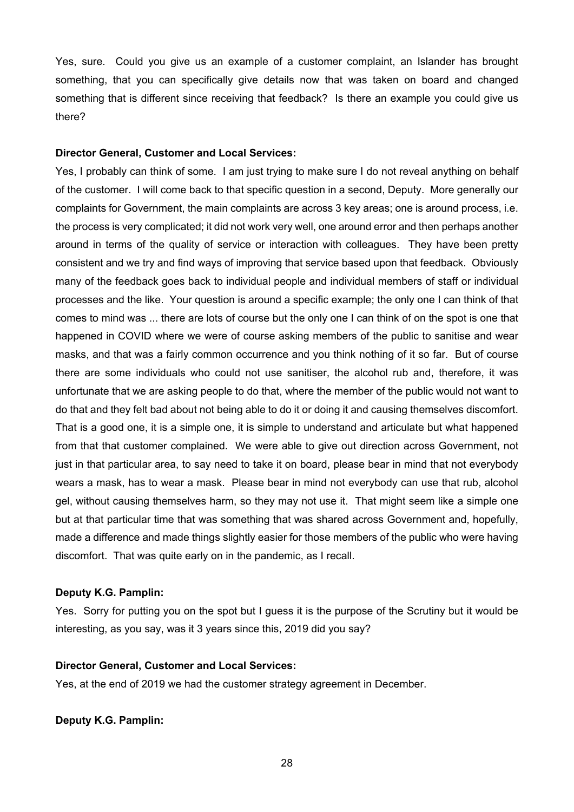Yes, sure. Could you give us an example of a customer complaint, an Islander has brought something, that you can specifically give details now that was taken on board and changed something that is different since receiving that feedback? Is there an example you could give us there?

## **Director General, Customer and Local Services:**

Yes, I probably can think of some. I am just trying to make sure I do not reveal anything on behalf of the customer. I will come back to that specific question in a second, Deputy. More generally our complaints for Government, the main complaints are across 3 key areas; one is around process, i.e. the process is very complicated; it did not work very well, one around error and then perhaps another around in terms of the quality of service or interaction with colleagues. They have been pretty consistent and we try and find ways of improving that service based upon that feedback. Obviously many of the feedback goes back to individual people and individual members of staff or individual processes and the like. Your question is around a specific example; the only one I can think of that comes to mind was ... there are lots of course but the only one I can think of on the spot is one that happened in COVID where we were of course asking members of the public to sanitise and wear masks, and that was a fairly common occurrence and you think nothing of it so far. But of course there are some individuals who could not use sanitiser, the alcohol rub and, therefore, it was unfortunate that we are asking people to do that, where the member of the public would not want to do that and they felt bad about not being able to do it or doing it and causing themselves discomfort. That is a good one, it is a simple one, it is simple to understand and articulate but what happened from that that customer complained. We were able to give out direction across Government, not just in that particular area, to say need to take it on board, please bear in mind that not everybody wears a mask, has to wear a mask. Please bear in mind not everybody can use that rub, alcohol gel, without causing themselves harm, so they may not use it. That might seem like a simple one but at that particular time that was something that was shared across Government and, hopefully, made a difference and made things slightly easier for those members of the public who were having discomfort. That was quite early on in the pandemic, as I recall.

## **Deputy K.G. Pamplin:**

Yes. Sorry for putting you on the spot but I guess it is the purpose of the Scrutiny but it would be interesting, as you say, was it 3 years since this, 2019 did you say?

## **Director General, Customer and Local Services:**

Yes, at the end of 2019 we had the customer strategy agreement in December.

**Deputy K.G. Pamplin:**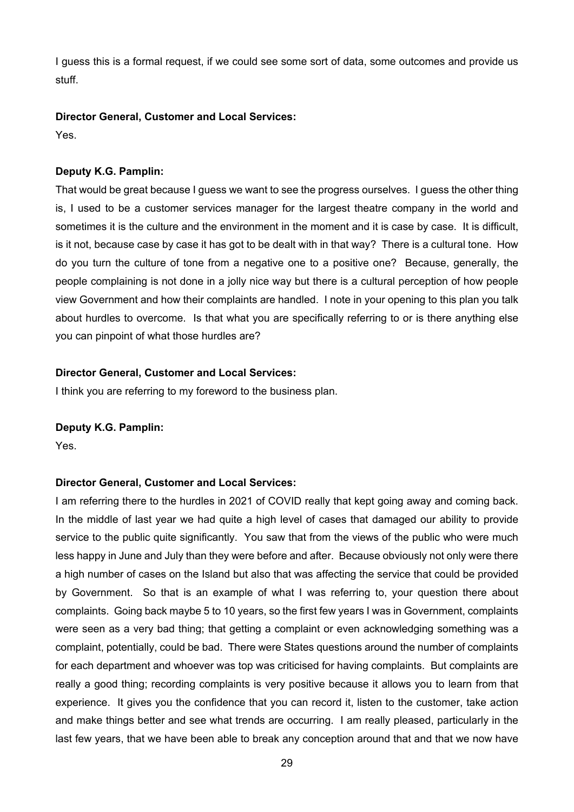I guess this is a formal request, if we could see some sort of data, some outcomes and provide us stuff.

# **Director General, Customer and Local Services:**

Yes.

# **Deputy K.G. Pamplin:**

That would be great because I guess we want to see the progress ourselves. I guess the other thing is, I used to be a customer services manager for the largest theatre company in the world and sometimes it is the culture and the environment in the moment and it is case by case. It is difficult, is it not, because case by case it has got to be dealt with in that way? There is a cultural tone. How do you turn the culture of tone from a negative one to a positive one? Because, generally, the people complaining is not done in a jolly nice way but there is a cultural perception of how people view Government and how their complaints are handled. I note in your opening to this plan you talk about hurdles to overcome. Is that what you are specifically referring to or is there anything else you can pinpoint of what those hurdles are?

# **Director General, Customer and Local Services:**

I think you are referring to my foreword to the business plan.

# **Deputy K.G. Pamplin:**

Yes.

# **Director General, Customer and Local Services:**

I am referring there to the hurdles in 2021 of COVID really that kept going away and coming back. In the middle of last year we had quite a high level of cases that damaged our ability to provide service to the public quite significantly. You saw that from the views of the public who were much less happy in June and July than they were before and after. Because obviously not only were there a high number of cases on the Island but also that was affecting the service that could be provided by Government. So that is an example of what I was referring to, your question there about complaints. Going back maybe 5 to 10 years, so the first few years I was in Government, complaints were seen as a very bad thing; that getting a complaint or even acknowledging something was a complaint, potentially, could be bad. There were States questions around the number of complaints for each department and whoever was top was criticised for having complaints. But complaints are really a good thing; recording complaints is very positive because it allows you to learn from that experience. It gives you the confidence that you can record it, listen to the customer, take action and make things better and see what trends are occurring. I am really pleased, particularly in the last few years, that we have been able to break any conception around that and that we now have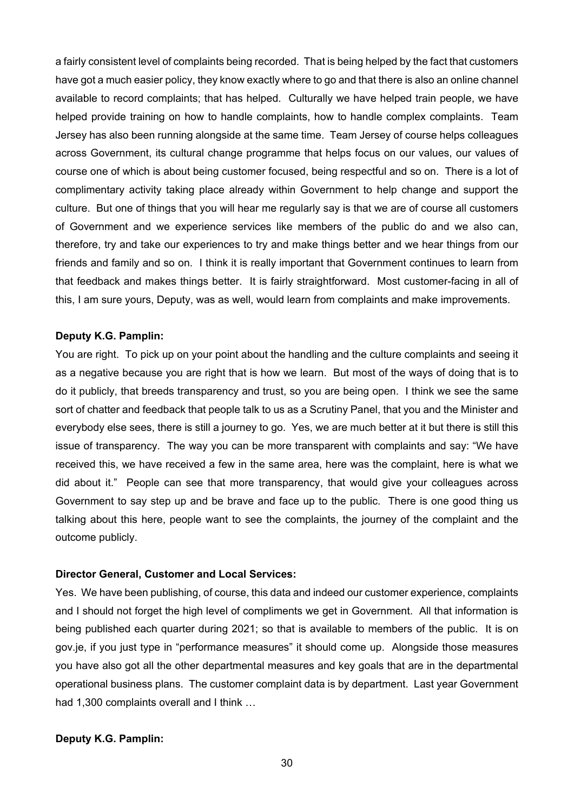a fairly consistent level of complaints being recorded. That is being helped by the fact that customers have got a much easier policy, they know exactly where to go and that there is also an online channel available to record complaints; that has helped. Culturally we have helped train people, we have helped provide training on how to handle complaints, how to handle complex complaints. Team Jersey has also been running alongside at the same time. Team Jersey of course helps colleagues across Government, its cultural change programme that helps focus on our values, our values of course one of which is about being customer focused, being respectful and so on. There is a lot of complimentary activity taking place already within Government to help change and support the culture. But one of things that you will hear me regularly say is that we are of course all customers of Government and we experience services like members of the public do and we also can, therefore, try and take our experiences to try and make things better and we hear things from our friends and family and so on. I think it is really important that Government continues to learn from that feedback and makes things better. It is fairly straightforward. Most customer-facing in all of this, I am sure yours, Deputy, was as well, would learn from complaints and make improvements.

#### **Deputy K.G. Pamplin:**

You are right. To pick up on your point about the handling and the culture complaints and seeing it as a negative because you are right that is how we learn. But most of the ways of doing that is to do it publicly, that breeds transparency and trust, so you are being open. I think we see the same sort of chatter and feedback that people talk to us as a Scrutiny Panel, that you and the Minister and everybody else sees, there is still a journey to go. Yes, we are much better at it but there is still this issue of transparency. The way you can be more transparent with complaints and say: "We have received this, we have received a few in the same area, here was the complaint, here is what we did about it." People can see that more transparency, that would give your colleagues across Government to say step up and be brave and face up to the public. There is one good thing us talking about this here, people want to see the complaints, the journey of the complaint and the outcome publicly.

#### **Director General, Customer and Local Services:**

Yes. We have been publishing, of course, this data and indeed our customer experience, complaints and I should not forget the high level of compliments we get in Government. All that information is being published each quarter during 2021; so that is available to members of the public. It is on gov.je, if you just type in "performance measures" it should come up. Alongside those measures you have also got all the other departmental measures and key goals that are in the departmental operational business plans. The customer complaint data is by department. Last year Government had 1,300 complaints overall and I think …

#### **Deputy K.G. Pamplin:**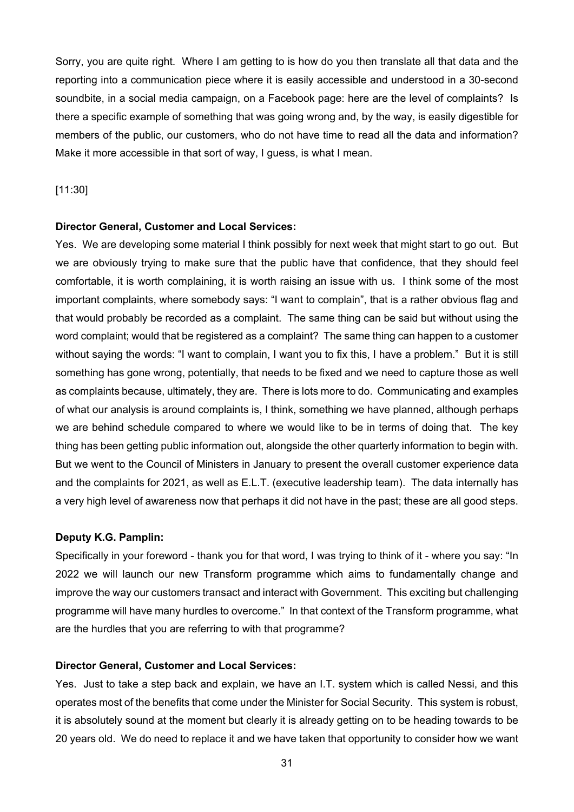Sorry, you are quite right. Where I am getting to is how do you then translate all that data and the reporting into a communication piece where it is easily accessible and understood in a 30-second soundbite, in a social media campaign, on a Facebook page: here are the level of complaints? Is there a specific example of something that was going wrong and, by the way, is easily digestible for members of the public, our customers, who do not have time to read all the data and information? Make it more accessible in that sort of way, I guess, is what I mean.

# [11:30]

#### **Director General, Customer and Local Services:**

Yes. We are developing some material I think possibly for next week that might start to go out. But we are obviously trying to make sure that the public have that confidence, that they should feel comfortable, it is worth complaining, it is worth raising an issue with us. I think some of the most important complaints, where somebody says: "I want to complain", that is a rather obvious flag and that would probably be recorded as a complaint. The same thing can be said but without using the word complaint; would that be registered as a complaint? The same thing can happen to a customer without saying the words: "I want to complain, I want you to fix this, I have a problem." But it is still something has gone wrong, potentially, that needs to be fixed and we need to capture those as well as complaints because, ultimately, they are. There is lots more to do. Communicating and examples of what our analysis is around complaints is, I think, something we have planned, although perhaps we are behind schedule compared to where we would like to be in terms of doing that. The key thing has been getting public information out, alongside the other quarterly information to begin with. But we went to the Council of Ministers in January to present the overall customer experience data and the complaints for 2021, as well as E.L.T. (executive leadership team). The data internally has a very high level of awareness now that perhaps it did not have in the past; these are all good steps.

#### **Deputy K.G. Pamplin:**

Specifically in your foreword - thank you for that word, I was trying to think of it - where you say: "In 2022 we will launch our new Transform programme which aims to fundamentally change and improve the way our customers transact and interact with Government. This exciting but challenging programme will have many hurdles to overcome." In that context of the Transform programme, what are the hurdles that you are referring to with that programme?

#### **Director General, Customer and Local Services:**

Yes. Just to take a step back and explain, we have an I.T. system which is called Nessi, and this operates most of the benefits that come under the Minister for Social Security. This system is robust, it is absolutely sound at the moment but clearly it is already getting on to be heading towards to be 20 years old. We do need to replace it and we have taken that opportunity to consider how we want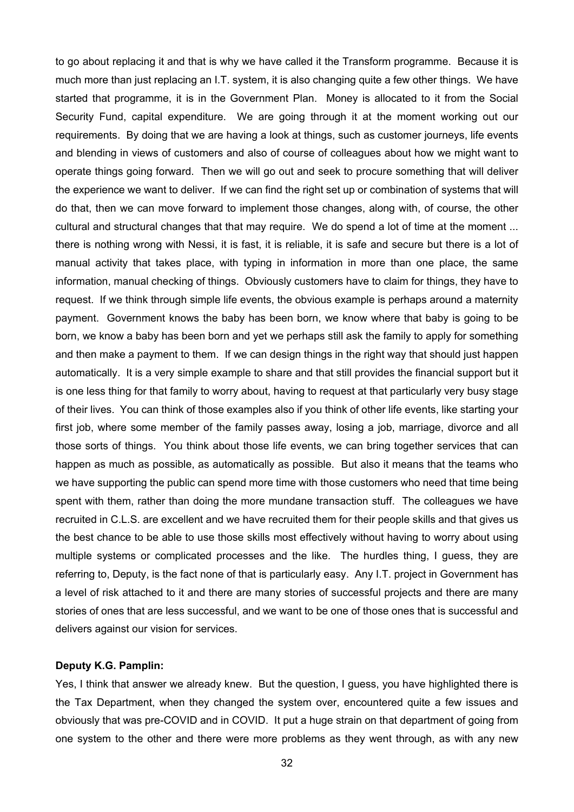to go about replacing it and that is why we have called it the Transform programme. Because it is much more than just replacing an I.T. system, it is also changing quite a few other things. We have started that programme, it is in the Government Plan. Money is allocated to it from the Social Security Fund, capital expenditure. We are going through it at the moment working out our requirements. By doing that we are having a look at things, such as customer journeys, life events and blending in views of customers and also of course of colleagues about how we might want to operate things going forward. Then we will go out and seek to procure something that will deliver the experience we want to deliver. If we can find the right set up or combination of systems that will do that, then we can move forward to implement those changes, along with, of course, the other cultural and structural changes that that may require. We do spend a lot of time at the moment ... there is nothing wrong with Nessi, it is fast, it is reliable, it is safe and secure but there is a lot of manual activity that takes place, with typing in information in more than one place, the same information, manual checking of things. Obviously customers have to claim for things, they have to request. If we think through simple life events, the obvious example is perhaps around a maternity payment. Government knows the baby has been born, we know where that baby is going to be born, we know a baby has been born and yet we perhaps still ask the family to apply for something and then make a payment to them. If we can design things in the right way that should just happen automatically. It is a very simple example to share and that still provides the financial support but it is one less thing for that family to worry about, having to request at that particularly very busy stage of their lives. You can think of those examples also if you think of other life events, like starting your first job, where some member of the family passes away, losing a job, marriage, divorce and all those sorts of things. You think about those life events, we can bring together services that can happen as much as possible, as automatically as possible. But also it means that the teams who we have supporting the public can spend more time with those customers who need that time being spent with them, rather than doing the more mundane transaction stuff. The colleagues we have recruited in C.L.S. are excellent and we have recruited them for their people skills and that gives us the best chance to be able to use those skills most effectively without having to worry about using multiple systems or complicated processes and the like. The hurdles thing, I guess, they are referring to, Deputy, is the fact none of that is particularly easy. Any I.T. project in Government has a level of risk attached to it and there are many stories of successful projects and there are many stories of ones that are less successful, and we want to be one of those ones that is successful and delivers against our vision for services.

#### **Deputy K.G. Pamplin:**

Yes, I think that answer we already knew. But the question, I guess, you have highlighted there is the Tax Department, when they changed the system over, encountered quite a few issues and obviously that was pre-COVID and in COVID. It put a huge strain on that department of going from one system to the other and there were more problems as they went through, as with any new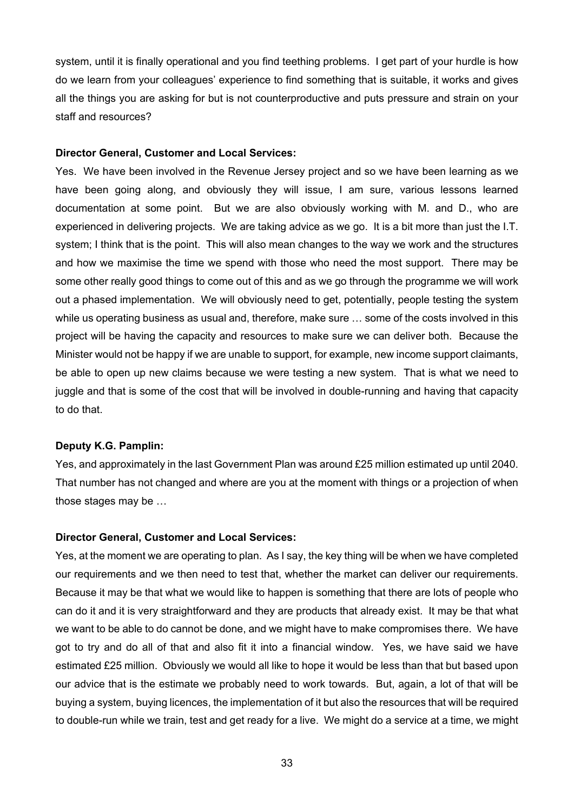system, until it is finally operational and you find teething problems. I get part of your hurdle is how do we learn from your colleagues' experience to find something that is suitable, it works and gives all the things you are asking for but is not counterproductive and puts pressure and strain on your staff and resources?

## **Director General, Customer and Local Services:**

Yes. We have been involved in the Revenue Jersey project and so we have been learning as we have been going along, and obviously they will issue, I am sure, various lessons learned documentation at some point. But we are also obviously working with M. and D., who are experienced in delivering projects. We are taking advice as we go. It is a bit more than just the I.T. system; I think that is the point. This will also mean changes to the way we work and the structures and how we maximise the time we spend with those who need the most support. There may be some other really good things to come out of this and as we go through the programme we will work out a phased implementation. We will obviously need to get, potentially, people testing the system while us operating business as usual and, therefore, make sure … some of the costs involved in this project will be having the capacity and resources to make sure we can deliver both. Because the Minister would not be happy if we are unable to support, for example, new income support claimants, be able to open up new claims because we were testing a new system. That is what we need to juggle and that is some of the cost that will be involved in double-running and having that capacity to do that.

#### **Deputy K.G. Pamplin:**

Yes, and approximately in the last Government Plan was around £25 million estimated up until 2040. That number has not changed and where are you at the moment with things or a projection of when those stages may be …

#### **Director General, Customer and Local Services:**

Yes, at the moment we are operating to plan. As I say, the key thing will be when we have completed our requirements and we then need to test that, whether the market can deliver our requirements. Because it may be that what we would like to happen is something that there are lots of people who can do it and it is very straightforward and they are products that already exist. It may be that what we want to be able to do cannot be done, and we might have to make compromises there. We have got to try and do all of that and also fit it into a financial window. Yes, we have said we have estimated £25 million. Obviously we would all like to hope it would be less than that but based upon our advice that is the estimate we probably need to work towards. But, again, a lot of that will be buying a system, buying licences, the implementation of it but also the resources that will be required to double-run while we train, test and get ready for a live. We might do a service at a time, we might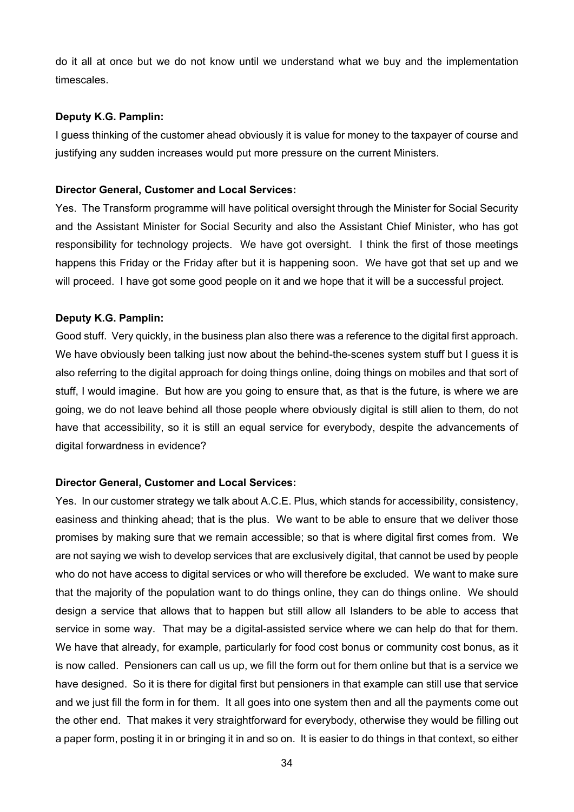do it all at once but we do not know until we understand what we buy and the implementation timescales.

## **Deputy K.G. Pamplin:**

I guess thinking of the customer ahead obviously it is value for money to the taxpayer of course and justifying any sudden increases would put more pressure on the current Ministers.

## **Director General, Customer and Local Services:**

Yes. The Transform programme will have political oversight through the Minister for Social Security and the Assistant Minister for Social Security and also the Assistant Chief Minister, who has got responsibility for technology projects. We have got oversight. I think the first of those meetings happens this Friday or the Friday after but it is happening soon. We have got that set up and we will proceed. I have got some good people on it and we hope that it will be a successful project.

## **Deputy K.G. Pamplin:**

Good stuff. Very quickly, in the business plan also there was a reference to the digital first approach. We have obviously been talking just now about the behind-the-scenes system stuff but I guess it is also referring to the digital approach for doing things online, doing things on mobiles and that sort of stuff, I would imagine. But how are you going to ensure that, as that is the future, is where we are going, we do not leave behind all those people where obviously digital is still alien to them, do not have that accessibility, so it is still an equal service for everybody, despite the advancements of digital forwardness in evidence?

#### **Director General, Customer and Local Services:**

Yes. In our customer strategy we talk about A.C.E. Plus, which stands for accessibility, consistency, easiness and thinking ahead; that is the plus. We want to be able to ensure that we deliver those promises by making sure that we remain accessible; so that is where digital first comes from. We are not saying we wish to develop services that are exclusively digital, that cannot be used by people who do not have access to digital services or who will therefore be excluded. We want to make sure that the majority of the population want to do things online, they can do things online. We should design a service that allows that to happen but still allow all Islanders to be able to access that service in some way. That may be a digital-assisted service where we can help do that for them. We have that already, for example, particularly for food cost bonus or community cost bonus, as it is now called. Pensioners can call us up, we fill the form out for them online but that is a service we have designed. So it is there for digital first but pensioners in that example can still use that service and we just fill the form in for them. It all goes into one system then and all the payments come out the other end. That makes it very straightforward for everybody, otherwise they would be filling out a paper form, posting it in or bringing it in and so on. It is easier to do things in that context, so either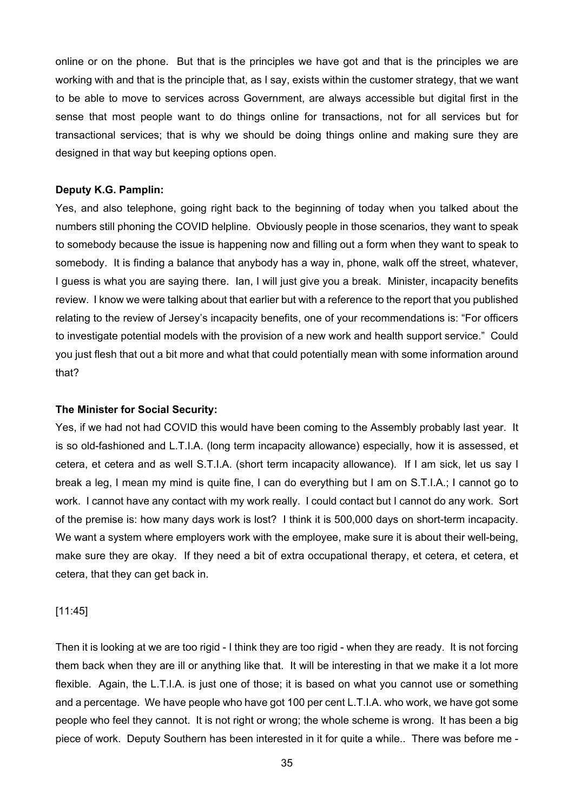online or on the phone. But that is the principles we have got and that is the principles we are working with and that is the principle that, as I say, exists within the customer strategy, that we want to be able to move to services across Government, are always accessible but digital first in the sense that most people want to do things online for transactions, not for all services but for transactional services; that is why we should be doing things online and making sure they are designed in that way but keeping options open.

## **Deputy K.G. Pamplin:**

Yes, and also telephone, going right back to the beginning of today when you talked about the numbers still phoning the COVID helpline. Obviously people in those scenarios, they want to speak to somebody because the issue is happening now and filling out a form when they want to speak to somebody. It is finding a balance that anybody has a way in, phone, walk off the street, whatever, I guess is what you are saying there. Ian, I will just give you a break. Minister, incapacity benefits review. I know we were talking about that earlier but with a reference to the report that you published relating to the review of Jersey's incapacity benefits, one of your recommendations is: "For officers to investigate potential models with the provision of a new work and health support service." Could you just flesh that out a bit more and what that could potentially mean with some information around that?

#### **The Minister for Social Security:**

Yes, if we had not had COVID this would have been coming to the Assembly probably last year. It is so old-fashioned and L.T.I.A. (long term incapacity allowance) especially, how it is assessed, et cetera, et cetera and as well S.T.I.A. (short term incapacity allowance). If I am sick, let us say I break a leg, I mean my mind is quite fine, I can do everything but I am on S.T.I.A.; I cannot go to work. I cannot have any contact with my work really. I could contact but I cannot do any work. Sort of the premise is: how many days work is lost? I think it is 500,000 days on short-term incapacity. We want a system where employers work with the employee, make sure it is about their well-being, make sure they are okay. If they need a bit of extra occupational therapy, et cetera, et cetera, et cetera, that they can get back in.

#### [11:45]

Then it is looking at we are too rigid - I think they are too rigid - when they are ready. It is not forcing them back when they are ill or anything like that. It will be interesting in that we make it a lot more flexible. Again, the L.T.I.A. is just one of those; it is based on what you cannot use or something and a percentage. We have people who have got 100 per cent L.T.I.A. who work, we have got some people who feel they cannot. It is not right or wrong; the whole scheme is wrong. It has been a big piece of work. Deputy Southern has been interested in it for quite a while.. There was before me -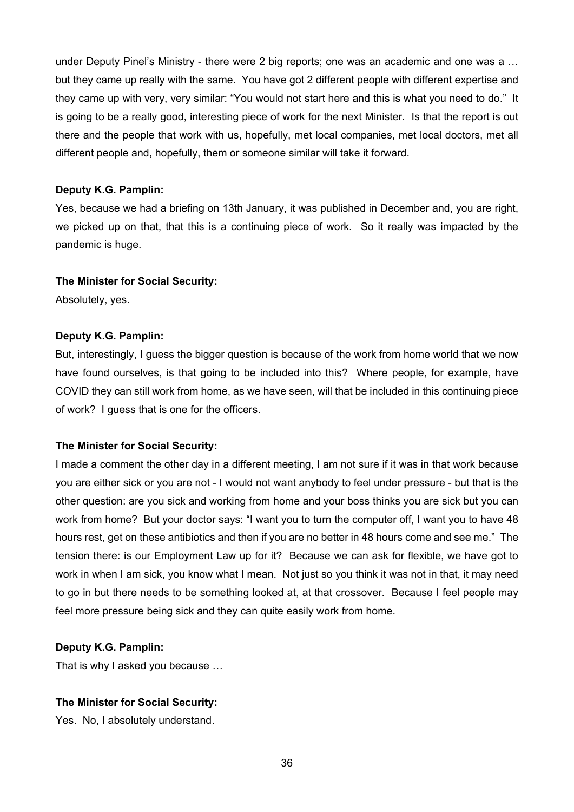under Deputy Pinel's Ministry - there were 2 big reports; one was an academic and one was a … but they came up really with the same. You have got 2 different people with different expertise and they came up with very, very similar: "You would not start here and this is what you need to do." It is going to be a really good, interesting piece of work for the next Minister. Is that the report is out there and the people that work with us, hopefully, met local companies, met local doctors, met all different people and, hopefully, them or someone similar will take it forward.

## **Deputy K.G. Pamplin:**

Yes, because we had a briefing on 13th January, it was published in December and, you are right, we picked up on that, that this is a continuing piece of work. So it really was impacted by the pandemic is huge.

#### **The Minister for Social Security:**

Absolutely, yes.

## **Deputy K.G. Pamplin:**

But, interestingly, I guess the bigger question is because of the work from home world that we now have found ourselves, is that going to be included into this? Where people, for example, have COVID they can still work from home, as we have seen, will that be included in this continuing piece of work? I guess that is one for the officers.

#### **The Minister for Social Security:**

I made a comment the other day in a different meeting, I am not sure if it was in that work because you are either sick or you are not - I would not want anybody to feel under pressure - but that is the other question: are you sick and working from home and your boss thinks you are sick but you can work from home? But your doctor says: "I want you to turn the computer off, I want you to have 48 hours rest, get on these antibiotics and then if you are no better in 48 hours come and see me." The tension there: is our Employment Law up for it? Because we can ask for flexible, we have got to work in when I am sick, you know what I mean. Not just so you think it was not in that, it may need to go in but there needs to be something looked at, at that crossover. Because I feel people may feel more pressure being sick and they can quite easily work from home.

#### **Deputy K.G. Pamplin:**

That is why I asked you because …

# **The Minister for Social Security:**

Yes. No, I absolutely understand.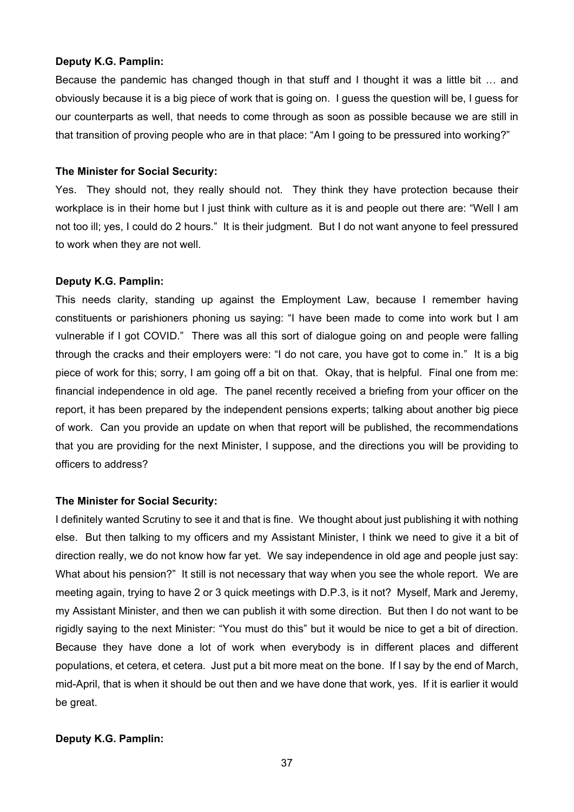## **Deputy K.G. Pamplin:**

Because the pandemic has changed though in that stuff and I thought it was a little bit … and obviously because it is a big piece of work that is going on. I guess the question will be, I guess for our counterparts as well, that needs to come through as soon as possible because we are still in that transition of proving people who are in that place: "Am I going to be pressured into working?"

# **The Minister for Social Security:**

Yes. They should not, they really should not. They think they have protection because their workplace is in their home but I just think with culture as it is and people out there are: "Well I am not too ill; yes, I could do 2 hours." It is their judgment. But I do not want anyone to feel pressured to work when they are not well.

# **Deputy K.G. Pamplin:**

This needs clarity, standing up against the Employment Law, because I remember having constituents or parishioners phoning us saying: "I have been made to come into work but I am vulnerable if I got COVID." There was all this sort of dialogue going on and people were falling through the cracks and their employers were: "I do not care, you have got to come in." It is a big piece of work for this; sorry, I am going off a bit on that. Okay, that is helpful. Final one from me: financial independence in old age. The panel recently received a briefing from your officer on the report, it has been prepared by the independent pensions experts; talking about another big piece of work. Can you provide an update on when that report will be published, the recommendations that you are providing for the next Minister, I suppose, and the directions you will be providing to officers to address?

# **The Minister for Social Security:**

I definitely wanted Scrutiny to see it and that is fine. We thought about just publishing it with nothing else. But then talking to my officers and my Assistant Minister, I think we need to give it a bit of direction really, we do not know how far yet. We say independence in old age and people just say: What about his pension?" It still is not necessary that way when you see the whole report. We are meeting again, trying to have 2 or 3 quick meetings with D.P.3, is it not? Myself, Mark and Jeremy, my Assistant Minister, and then we can publish it with some direction. But then I do not want to be rigidly saying to the next Minister: "You must do this" but it would be nice to get a bit of direction. Because they have done a lot of work when everybody is in different places and different populations, et cetera, et cetera. Just put a bit more meat on the bone. If I say by the end of March, mid-April, that is when it should be out then and we have done that work, yes. If it is earlier it would be great.

# **Deputy K.G. Pamplin:**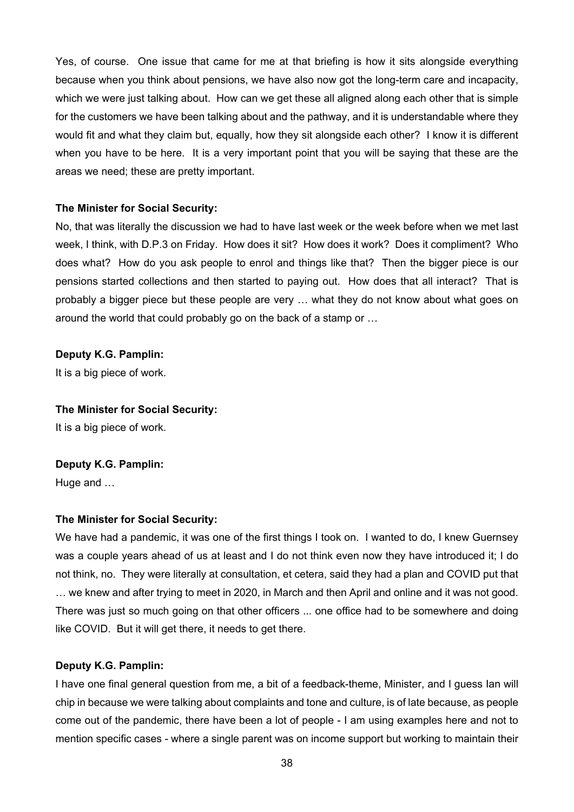Yes, of course. One issue that came for me at that briefing is how it sits alongside everything because when you think about pensions, we have also now got the long-term care and incapacity, which we were just talking about. How can we get these all aligned along each other that is simple for the customers we have been talking about and the pathway, and it is understandable where they would fit and what they claim but, equally, how they sit alongside each other? I know it is different when you have to be here. It is a very important point that you will be saying that these are the areas we need; these are pretty important.

# **The Minister for Social Security:**

No, that was literally the discussion we had to have last week or the week before when we met last week, I think, with D.P.3 on Friday. How does it sit? How does it work? Does it compliment? Who does what? How do you ask people to enrol and things like that? Then the bigger piece is our pensions started collections and then started to paying out. How does that all interact? That is probably a bigger piece but these people are very … what they do not know about what goes on around the world that could probably go on the back of a stamp or …

# **Deputy K.G. Pamplin:**

It is a big piece of work.

## **The Minister for Social Security:**

It is a big piece of work.

# **Deputy K.G. Pamplin:**

Huge and …

## **The Minister for Social Security:**

We have had a pandemic, it was one of the first things I took on. I wanted to do, I knew Guernsey was a couple years ahead of us at least and I do not think even now they have introduced it; I do not think, no. They were literally at consultation, et cetera, said they had a plan and COVID put that … we knew and after trying to meet in 2020, in March and then April and online and it was not good. There was just so much going on that other officers ... one office had to be somewhere and doing like COVID. But it will get there, it needs to get there.

## **Deputy K.G. Pamplin:**

I have one final general question from me, a bit of a feedback-theme, Minister, and I guess Ian will chip in because we were talking about complaints and tone and culture, is of late because, as people come out of the pandemic, there have been a lot of people - I am using examples here and not to mention specific cases - where a single parent was on income support but working to maintain their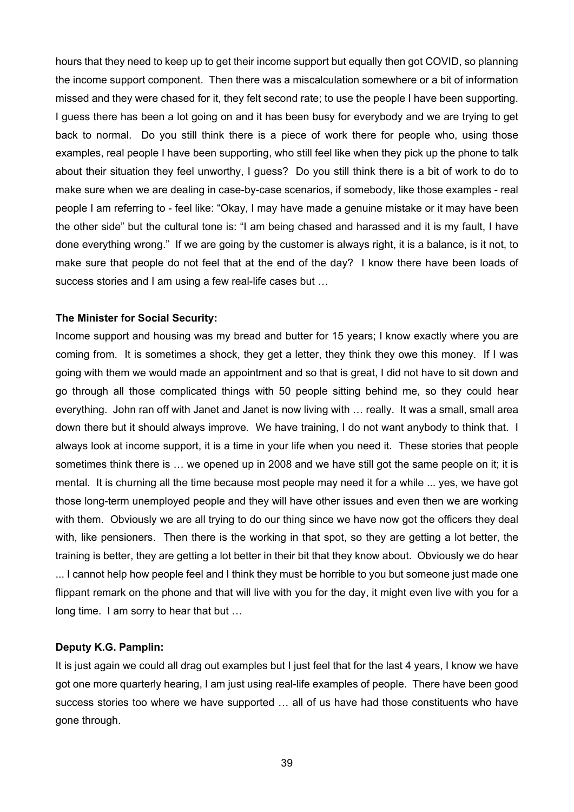hours that they need to keep up to get their income support but equally then got COVID, so planning the income support component. Then there was a miscalculation somewhere or a bit of information missed and they were chased for it, they felt second rate; to use the people I have been supporting. I guess there has been a lot going on and it has been busy for everybody and we are trying to get back to normal. Do you still think there is a piece of work there for people who, using those examples, real people I have been supporting, who still feel like when they pick up the phone to talk about their situation they feel unworthy, I guess? Do you still think there is a bit of work to do to make sure when we are dealing in case-by-case scenarios, if somebody, like those examples - real people I am referring to - feel like: "Okay, I may have made a genuine mistake or it may have been the other side" but the cultural tone is: "I am being chased and harassed and it is my fault, I have done everything wrong." If we are going by the customer is always right, it is a balance, is it not, to make sure that people do not feel that at the end of the day? I know there have been loads of success stories and I am using a few real-life cases but …

#### **The Minister for Social Security:**

Income support and housing was my bread and butter for 15 years; I know exactly where you are coming from. It is sometimes a shock, they get a letter, they think they owe this money. If I was going with them we would made an appointment and so that is great, I did not have to sit down and go through all those complicated things with 50 people sitting behind me, so they could hear everything. John ran off with Janet and Janet is now living with … really. It was a small, small area down there but it should always improve. We have training, I do not want anybody to think that. I always look at income support, it is a time in your life when you need it. These stories that people sometimes think there is ... we opened up in 2008 and we have still got the same people on it; it is mental. It is churning all the time because most people may need it for a while ... yes, we have got those long-term unemployed people and they will have other issues and even then we are working with them. Obviously we are all trying to do our thing since we have now got the officers they deal with, like pensioners. Then there is the working in that spot, so they are getting a lot better, the training is better, they are getting a lot better in their bit that they know about. Obviously we do hear ... I cannot help how people feel and I think they must be horrible to you but someone just made one flippant remark on the phone and that will live with you for the day, it might even live with you for a long time. I am sorry to hear that but …

#### **Deputy K.G. Pamplin:**

It is just again we could all drag out examples but I just feel that for the last 4 years, I know we have got one more quarterly hearing, I am just using real-life examples of people. There have been good success stories too where we have supported … all of us have had those constituents who have gone through.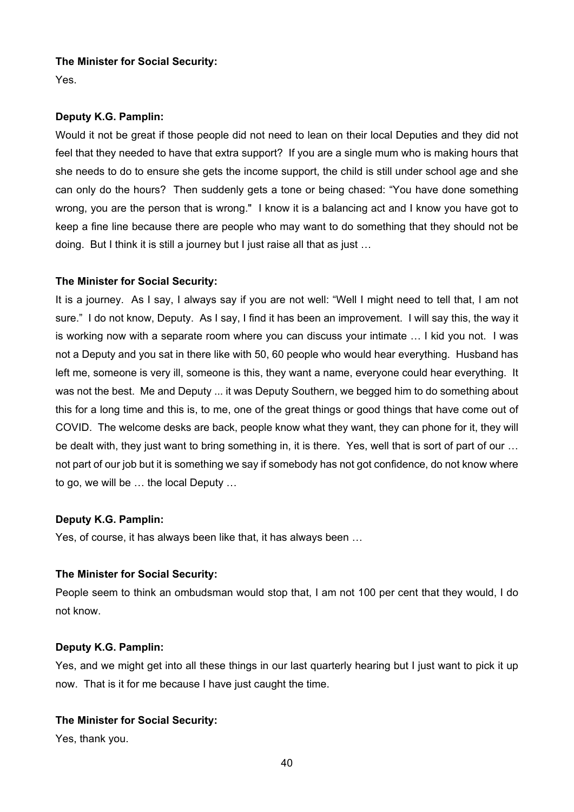# **The Minister for Social Security:**

Yes.

# **Deputy K.G. Pamplin:**

Would it not be great if those people did not need to lean on their local Deputies and they did not feel that they needed to have that extra support? If you are a single mum who is making hours that she needs to do to ensure she gets the income support, the child is still under school age and she can only do the hours? Then suddenly gets a tone or being chased: "You have done something wrong, you are the person that is wrong." I know it is a balancing act and I know you have got to keep a fine line because there are people who may want to do something that they should not be doing. But I think it is still a journey but I just raise all that as just …

# **The Minister for Social Security:**

It is a journey. As I say, I always say if you are not well: "Well I might need to tell that, I am not sure." I do not know, Deputy. As I say, I find it has been an improvement. I will say this, the way it is working now with a separate room where you can discuss your intimate … I kid you not. I was not a Deputy and you sat in there like with 50, 60 people who would hear everything. Husband has left me, someone is very ill, someone is this, they want a name, everyone could hear everything. It was not the best. Me and Deputy ... it was Deputy Southern, we begged him to do something about this for a long time and this is, to me, one of the great things or good things that have come out of COVID. The welcome desks are back, people know what they want, they can phone for it, they will be dealt with, they just want to bring something in, it is there. Yes, well that is sort of part of our … not part of our job but it is something we say if somebody has not got confidence, do not know where to go, we will be … the local Deputy …

# **Deputy K.G. Pamplin:**

Yes, of course, it has always been like that, it has always been …

# **The Minister for Social Security:**

People seem to think an ombudsman would stop that, I am not 100 per cent that they would, I do not know.

# **Deputy K.G. Pamplin:**

Yes, and we might get into all these things in our last quarterly hearing but I just want to pick it up now. That is it for me because I have just caught the time.

# **The Minister for Social Security:**

Yes, thank you.